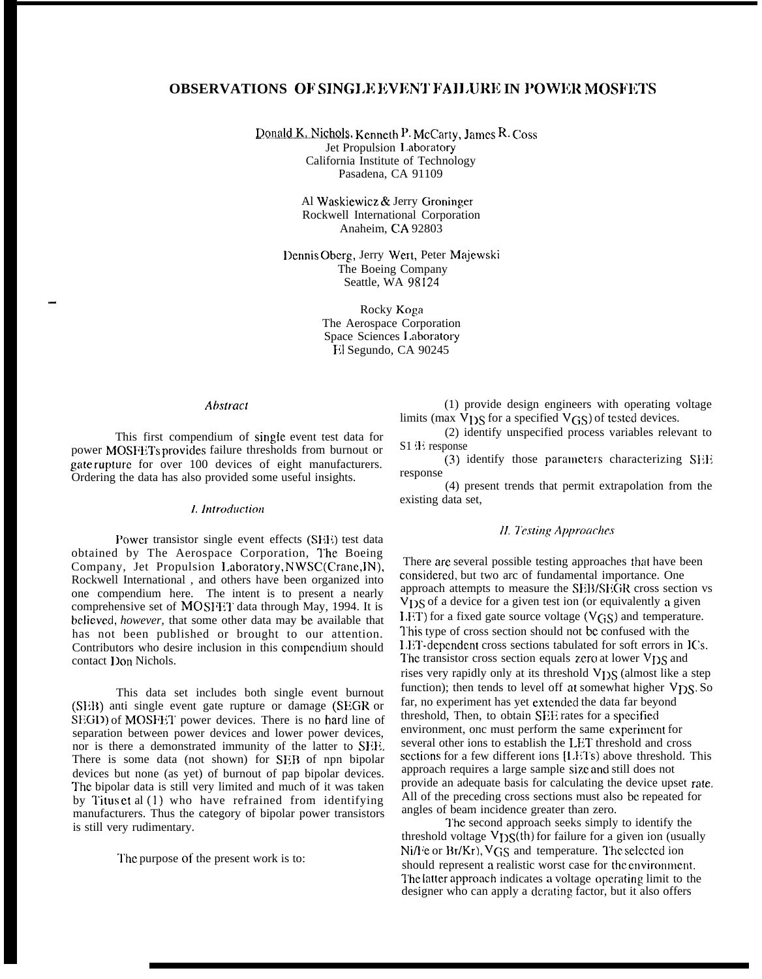# **OBSERVATIONS OF SINGI.X EVItNT FAIJ.URN IN I'OWER MOSFIKI'S**

**Donald K. Nichols,** *Kenneth* **P.** *McCarty***, James R. Coss** Jet Propulsion 1.aboratory California Institute of Technology Pasadena, CA 91109

> Al Waskiewicz & Jerry Groninger Rockwell International Corporation Anaheim, CA 92803

Dennis Oberg, Jerry Wert, Peter Majewski The Boeing Company Seattle, WA 98124

> Rocky Koga The Aerospace Corporation Space Sciences 1,aboratory Ii] Segundo, CA 90245

### *Ab.vttact*

—

This first compendium of single event test data for power MOSFETs provides failure thresholds from burnout or gate rupture for over 100 devices of eight manufacturers. Ordering the data has also provided some useful insights.

#### 1. *Introduction*

Power transistor single event effects (SEE) test data obtained by The Aerospace Corporation, The Boeing Company, Jet Propulsion I.aboratory, NWSC(Crane,lN), Rockwell International , and others have been organized into one compendium here. The intent is to present a nearly comprehensive set of MOSFET data through May, 1994. It is bclicwcl, *however,* that some other data may be available that has not been published or brought to our attention. Contributors who desire inclusion in this compendium should contact IJon Nichols.

This data set includes both single event burnout (SEB) anti single event gate rupture or damage (SEGR or SEGD) of MOSFET power devices. There is no hard line of separation between power devices and lower power devices, nor is there a demonstrated immunity of the latter to SFF. There is some data (not shown) for SEB of npn bipolar devices but none (as yet) of burnout of pap bipolar devices. The bipolar data is still very limited and much of it was taken by I'itus et al (1) who have refrained from identifying manufacturers. Thus the category of bipolar power transistors is still very rudimentary.

'1'hc purpose of the present work is to:

(1) provide design engineers with operating voltage limits (max  $\overline{V}_{1}$ )<sub>S</sub> for a specified  $V$ <sub>GS</sub>) of tested devices.

(2) identify unspecified process variables relevant to  $S1$  if response

(3) identify those parameters characterizing SEE response

(4) present trends that permit extrapolation from the existing data set,

#### **II. Testing Approaches**

There are several possible testing approaches that have been considered, but two arc of fundamental importance. One approach attempts to measure the SEB/SEGR cross section vs V<sub>1</sub>)S of a device for a given test ion (or equivalently a given LET) for a fixed gate source voltage  $(V_{GS})$  and temperature. l'his type of cross section should not be confused with the 1.ET-dependent cross sections tabulated for soft errors in ICs. The transistor cross section equals zero at lower  $V_{1}$ )S and rises very rapidly only at its threshold V<sub>DS</sub> (almost like a step function); then tends to level off at somewhat higher  $V_{DS}$ . So far, no experiment has yet extended the data far beyond threshold, Then, to obtain SEE rates for a specified environment, onc must perform the same experiment for several other ions to establish the I.ET threshold and cross sections for a few different ions [LETs) above threshold. This approach requires a large sample size and still does not provide an adequate basis for calculating the device upset rate. All of the preceding cross sections must also be repeated for angles of beam incidence greater than zero.

The second approach seeks simply to identify the threshold voltage  $V_{DS}(th)$  for failure for a given ion (usually Ni/l<sup>i</sup>e or  $Br/Kr$ ,  $V$ <sub>GS</sub> and temperature. The selected ion should represent a realistic worst case for the environment. The latter approach indicates a voltage operating limit to the designer who can apply a derating factor, but it also offers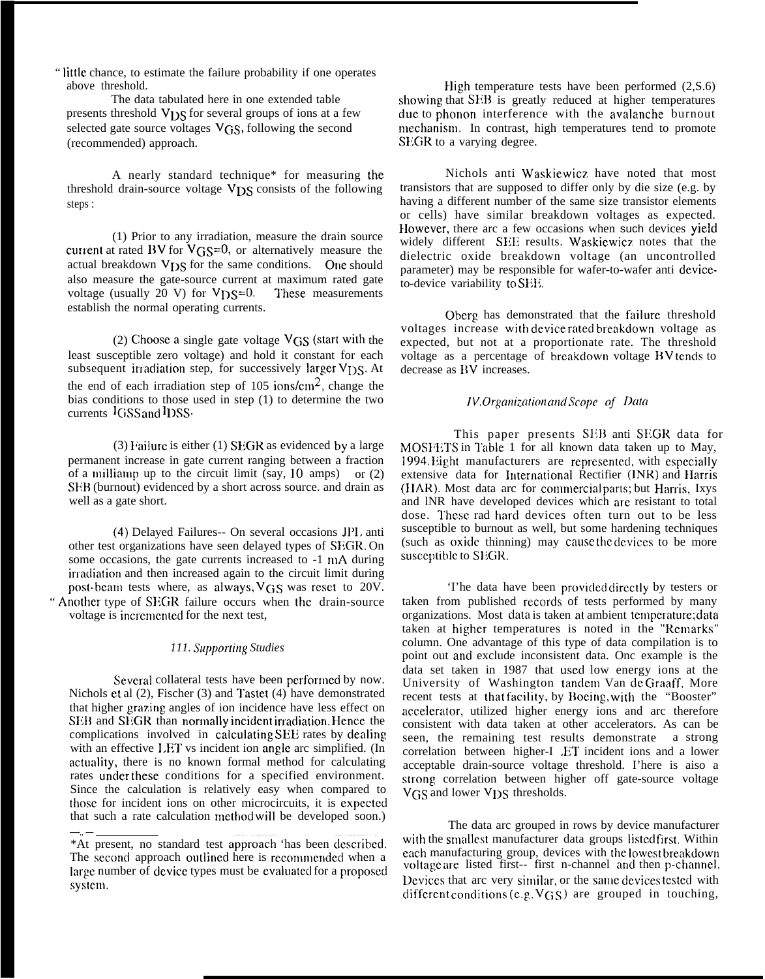" little chance, to estimate the failure probability if one operates above threshold.

The data tabulated here in one extended table presents threshold V<sub>DS</sub> for several groups of ions at a few selected gate source voltages VGS, following the second (recommended) approach.

A nearly standard technique\* for measuring the threshold drain-source voltage  $VDS$  consists of the following steps :

(1) Prior to any irradiation, measure the drain source current at rated BV for  $V$  $GS=0$ , or alternatively measure the actual breakdown V<sub>I</sub> S for the same conditions. One should also measure the gate-source current at maximum rated gate voltage (usually 20 V) for  $V_{DS}=0$ . These measurements voltage (usually 20 V) for  $V_{DS}=0$ . establish the normal operating currents.

(2) Choose a single gate voltage  $V$ GS (start with the least susceptible zero voltage) and hold it constant for each subsequent irradiation step, for successively larger V<sub>DS</sub>. At the end of each irradiation step of  $105$  ions/cm<sup>2</sup>, change the bias conditions to those used in step (1) to determine the two currents lGSS and lDSS.

(3) Failure is either (1) SEGR as evidenced by a large permanent increase in gate current ranging between a fraction of a milliamp up to the circuit limit (say,  $10 \text{ amps}$ ) or  $(2)$ SEB (burnout) evidenced by a short across source. and drain as well as a gate short.

(4) Delayed Failures-- On several occasions JPL anti other test organizations have seen delayed types of SEGR. On some occasions, the gate currents increased to -1 mA during irradiation and then increased again to the circuit limit during post-beam tests where, as always,  $V$ GS was reset to 20V. " Another type of SEGR failure occurs when the drain-source voltage is incremented for the next test,

### *111. Supporting Studies*

Several collateral tests have been performed by now. Nichols et al (2), Fischer (3) and Tastct (4) have demonstrated that higher grazing angles of ion incidence have less effect on SEB and SEGR than normally incident irradiation. Hence the complications involved in calculating SEE rates by dealing with an effective LET vs incident ion angle arc simplified. (In actuaiity, there is no known formal method for calculating rates under these conditions for a specified environment. Since the calculation is relatively easy when compared to those for incident ions on other microcircuits, it is expected that such a rate calculation method will be developed soon.)

High temperature tests have been performed  $(2, S.6)$ showing that SEB is greatly reduced at higher temperatures due to phonon interference with the avalanche burnout mechanism. In contrast, high temperatures tend to promote SEGR to a varying degree.

Nichols anti Waskiewicz have noted that most transistors that are supposed to differ only by die size (e.g. by having a different number of the same size transistor elements or cells) have similar breakdown voltages as expected. IIowever, there arc a few occasions when such devices yieid widely different SEE results. Waskiewicz notes that the dielectric oxide breakdown voltage (an uncontrolled parameter) may be responsible for wafer-to-wafer anti deviceto-device variability to SFli.

Oberg has demonstrated that the failure threshold voltages increase with device rated breakdown voltage as expected, but not at a proportionate rate. The threshold voltage as a percentage of breakdown voltage BV tends to decrease as BV increases.

# *IV. Organization and Scope of Data*

This paper presents SEB anti SEGR data for MOSHETS in Table 1 for all known data taken up to May, 1994. Eight manufacturers are represented, with especially extensive data for International Rectifier (INR) and Harris (HAR). Most data arc for commercial parts; but Harris, Ixys and lNR have developed devices which are resistant to total dose. These rad hard devices often turn out to be less susceptible to burnout as well, but some hardening techniques (such as oxide thinning) may cause the devices to be more susceptible to SEGR.

'I'he data have been provided directly by testers or taken from published records of tests performed by many organizations. Most data is taken at ambient temperature; data taken at higher temperatures is noted in the "Remarks" column. One advantage of this type of data compilation is to point out and exclude inconsistent data. Onc example is the data set taken in 1987 that used low energy ions at the University of Washington tandem Van de Graaff. More recent tests at that facility, by Boeing, with the "Booster" accelerator, utilized higher energy ions and arc therefore consistent with data taken at other accelerators. As can be seen, the remaining test results demonstrate a strong correlation between higher-I ET incident ions and a lower acceptable drain-source voltage threshold. I'here is aiso a strong correlation between higher off gate-source voltage V<sub>GS</sub> and lower V<sub>DS</sub> thresholds.

The data arc grouped in rows by device manufacturer with the smallest manufacturer data groups listed first. Within each manufacturing group, devices with the lowest breakdown voltage are listed first-- first n-channel and then p-channel. Devices that arc very similar, or the same devices tested with different conditions (e.g.  $V$  $GS$ ) are grouped in touching,

<sup>—-.. —</sup> \*At present, no standard test appro-ach 'has been dcscribcd. The second approach outlined here is recommended when a large number of device types must be evaluated for a proposed system.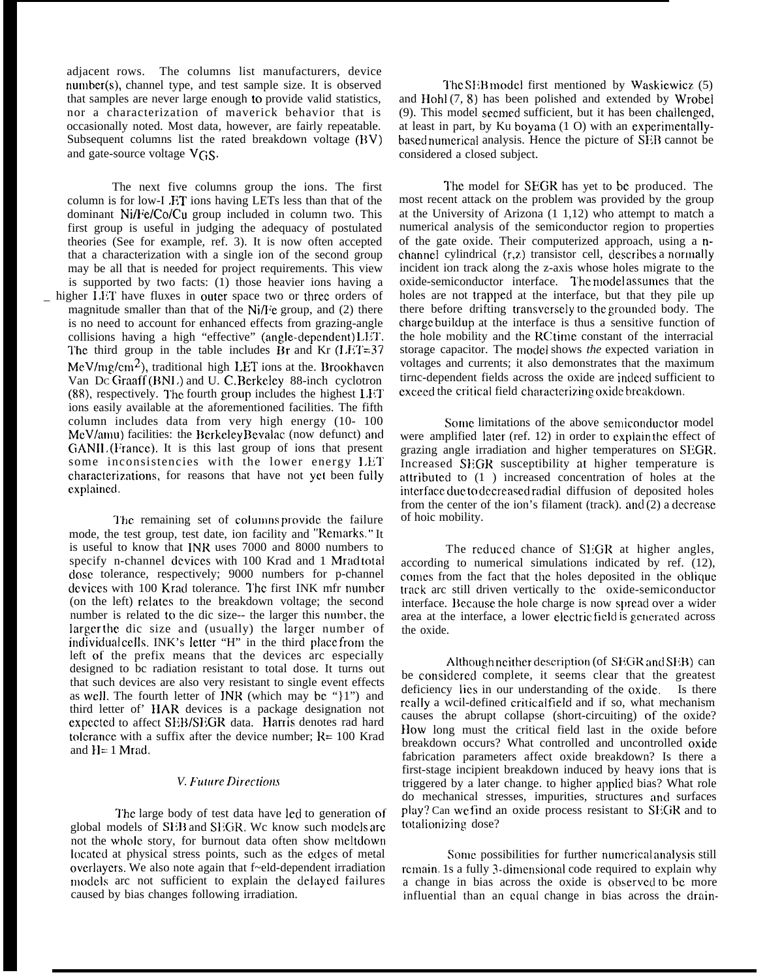adjacent rows. The columns list manufacturers, device nunlber(s), channel type, and test sample size. It is observed that samples are never large enough to provide valid statistics, nor a characterization of maverick behavior that is occasionally noted. Most data, however, are fairly repeatable. Subsequent columns list the rated breakdown voltage (BV) and gate-source voltage  $V$  $GS$ .

The next five columns group the ions. The first column is for low-I ,F.T ions having LETs less than that of the dominant Ni/Fe/Co/Cu group included in column two. This first group is useful in judging the adequacy of postulated theories (See for example, ref. 3). It is now often accepted that a characterization with a single ion of the second group may be all that is needed for project requirements. This view is supported by two facts: (1) those heavier ions having a higher LET have fluxes in outer space two or three orders of magnitude smaller than that of the Ni $\hat{H}$ ie group, and (2) there is no need to account for enhanced effects from grazing-angle collisions having a high "effective" (angle-dependent) LET. The third group in the table includes Br and Kr  $(LET=37)$  $MeV/mg/cm<sup>2</sup>$ , traditional high LET ions at the. Brookhaven Van Dc Graaff (BNL) and U. C. Berkeley 88-inch cyclotron (88), respectively. The fourth group includes the highest LET ions easily available at the aforementioned facilities. The fifth column includes data from very high energy (10- 100 MeV/amu) facilities: the Berkeley Bevalac (now defunct) and GANII. (France). It is this last group of ions that present some inconsistencies with the lower energy LET characterizations, for reasons that have not yet been fully explained.

The remaining set of columns provide the failure mode, the test group, test date, ion facility and "Remarks." It is useful to know that INR uses 7000 and 8000 numbers to specify n-channel devices with 100 Krad and 1 Mrad total dose tolerance, respectively; 9000 numbers for p-channel devices with 100 Krad tolerance. The first INK mfr number (on the left) relates to the breakdown voltage; the second number is related to the dic size-- the larger this number, the larger the dic size and (usually) the larger number of individual cells. INK's letter "H" in the third place from the left of the prefix means that the devices arc especially designed to bc radiation resistant to total dose. It turns out that such devices are also very resistant to single event effects as well. The fourth letter of  $\overline{INR}$  (which may be " $\{1\}$ ") and third letter of' HAR devices is a package designation not expected to affect SEB/SEGR data. Harris denotes rad hard tolerance with a suffix after the device number;  $R = 100$  Krad and  $H = 1$  Mrad.

# *V. Future Directions*

The large body of test data have led to generation of global models of SEB and SEGR. We know such models are not the whole story, for burnout data often show meltdown located at physical stress points, such as the edges of metal ovcrlaycrs. We also note again that f~eld-dependent irradiation models arc not sufficient to explain the delayed failures caused by bias changes following irradiation.

The SEB model first mentioned by Waskiewicz. (5) and Hohl (7, 8) has been polished and extended by Wrobel (9). This model secrned sufficient, but it has been chailcnged, at least in part, by Ku boyama  $(1 O)$  with an experimentallybased numerical analysis. Hence the picture of SEB cannot be considered a closed subject.

The model for SEGR has yet to be produced. The most recent attack on the problem was provided by the group at the University of Arizona  $(1\ 1,12)$  who attempt to match a numerical analysis of the semiconductor region to properties of the gate oxide. Their computerized approach, using a nchannel cylindrical  $(r, z)$  transistor cell, describes a normally incident ion track along the z-axis whose holes migrate to the oxide-semiconductor interface. The model assumes that the holes are not trapped at the interface, but that they pile up there before drifting transversely to the grounded body. The charge buildup at the interface is thus a sensitive function of the hole mobility and the RC time constant of the interracial storage capacitor. The model shows *the* expected variation in voltages and currents; it also demonstrates that the maximum tirnc-dependent fields across the oxide are indeed sufficient to exceed the critical field characterizing oxide breakdown.

Some limitations of the above semiconductor model were amplified later (ref. 12) in order to explain the effect of grazing angle irradiation and higher temperatures on SEGR. Increased SEGR susceptibility at higher temperature is attributed to (1) increased concentration of holes at the interface due to decreased radial diffusion of deposited holes from the center of the ion's filament (track). and  $(2)$  a decrease of hoic mobility.

The rcduccd chance of SEGK at higher angles, according to numerical simulations indicated by ref. (12), comes from the fact that the holes deposited in the oblique track arc still driven vertically to the oxide-semiconductor interface. Because the hole charge is now spread over a wider area at the interface, a lower electric field is generated across the oxide.

Although neither description (of  $S<sub>I</sub>:GR$  and  $SEB$ ) can be considered complete, it seems clear that the greatest deficiency lies in our understanding of the oxide. Is there really a wcil-defined critical field and if so, what mechanism causes the abrupt collapse (short-circuiting) of the oxide? How long must the critical field last in the oxide before breakdown occurs? What controlled and uncontrolled oxide fabrication parameters affect oxide breakdown? Is there a first-stage incipient breakdown induced by heavy ions that is triggered by a later change, to higher applied bias? What role do mechanical stresses, impurities, structures and surfaces play? Can we find an oxide process resistant to SEGR and to total ionizing dose?

Some possibilities for further numerical analysis still remain. 1s a fully 3-dimensional code required to explain why a change in bias across the oxide is observed to be more influential than an equal change in bias across the drain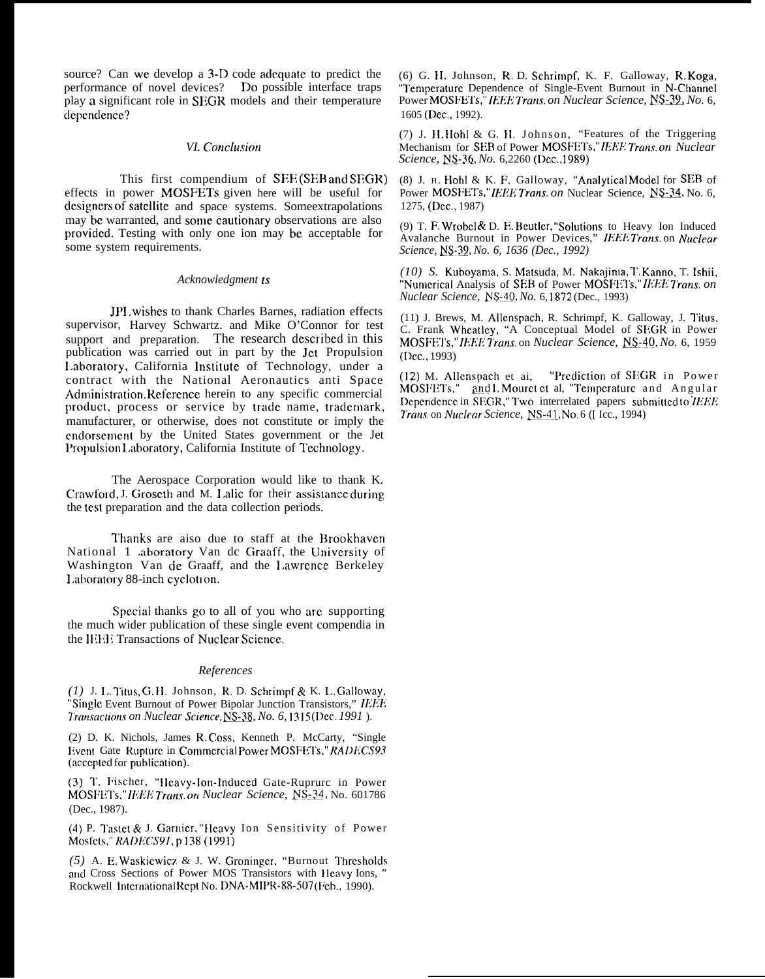source? Can we develop a 3-D code adequate to predict the performance of novel devices? Do possible interface traps play a significant role in SEGR models and their temperature dependence?

## VI. Conclusion

This first compendium of SEE(SEB and SEGR) effects in power MOSFETs given here will be useful for designers of satellite and space systems. Some extrapolations may be warranted, and some cautionary observations are also provided. Testing with only one ion may be acceptable for some system requirements.

## Acknowledgment ts

JPI wishes to thank Charles Barnes, radiation effects supervisor, Harvey Schwartz. and Mike O'Connor for test support and preparation. The research described in this publication was carried out in part by the Jet Propulsion Laboratory, California Institute of Technology, under a contract with the National Aeronautics anti Space Administration. Reference herein to any specific commercial product, process or service by trade name, trademark, manufacturer, or otherwise, does not constitute or imply the endorsement by the United States government or the Jet Propulsion Laboratory, California Institute of Technology.

The Aerospace Corporation would like to thank K. Crawford, J. Groseth and M. Lalic for their assistance during the test preparation and the data collection periods.

Thanks are aiso due to staff at the Brookhaven National 1 aboratory Van de Graaff, the University of Washington Van de Graaff, and the Lawrence Berkeley Laboratory 88-inch cyclotron.

Special thanks go to all of you who are supporting the much wider publication of these single event compendia in the IEEE Transactions of Nuclear Science.

### References

(1) J. L. Titus, G.H. Johnson, R. D. Schrimpf & K. L. Galloway, "Single Event Burnout of Power Bipolar Junction Transistors," IEEE Transactions on Nuclear Science, NS-38, No. 6, 1315 (Dec. 1991).

(2) D. K. Nichols, James R. Coss, Kenneth P. McCarty, "Single Event Gate Rupture in Commercial Power MOSFETs," RADECS93 (accepted for publication).

(3) T. Fischer, "Heavy-Ion-Induced Gate-Ruprurc in Power MOSFETs," IEEE Trans.on Nuclear Science, NS-34, No. 601786 (Dec., 1987).

(4) P. Tastet & J. Garnier, "Heavy Ion Sensitivity of Power Mosfets," RADECS91, p 138 (1991)

 $(5)$  A. E. Waskiewicz & J. W. Groninger, "Burnout Thresholds and Cross Sections of Power MOS Transistors with Heavy Ions, Rockwell International Rept No. DNA-MIPR-88-507 (Feb., 1990).

(6) G. H. Johnson, R. D. Schrimpf, K. F. Galloway, R. Koga, "Temperature Dependence of Single-Event Burnout in N-Channel Power MOSFETs," IEEE Trans. on Nuclear Science, NS-39, No. 6, 1605 (Dec., 1992).

(7) J. H. Hohl & G. H. Johnson, "Features of the Triggering Mechanism for SEB of Power MOSFETs," IEEE Trans. on Nuclear Science, NS-36, No. 6,2260 (Dec., 1989)

(8) J. H. Hohl & K. F. Galloway, "Analytical Model for SEB of Power MOSFETs,"IEEE Trans. on Nuclear Science, NS-34, No. 6, 1275. (Dec., 1987).

(9) T. F. Wrobel & D. E. Beutler, "Solutions to Heavy Ion Induced Avalanche Burnout in Power Devices," IEEE Trans. on Nuclear Science, NS-39, No. 6, 1636 (Dec., 1992)

(10) S. Kuboyama, S. Matsuda, M. Nakajima, T. Kanno, T. Ishii, "Numerical Analysis of SEB of Power MOSFETs," IEEE Trans. on Nuclear Science, NS-40, No. 6, 1872 (Dec., 1993)

(11) J. Brews, M. Allenspach, R. Schrimpf, K. Galloway, J. Titus, C. Frank Wheatley, "A Conceptual Model of SEGR in Power MOSFETs," IEEE Trans. on Nuclear Science, NS-40, No. 6, 1959  $(Dec., 1993)$ 

"Prediction of SEGR in Power (12) M. Allenspach et ai, MOSFETs," and I Mouret et al, "Temperature and Angular Dependence in SEGR," Two interrelated papers submitted to IEEE Trans.on Nuclear Science, NS-41, No. 6 ([Icc., 1994)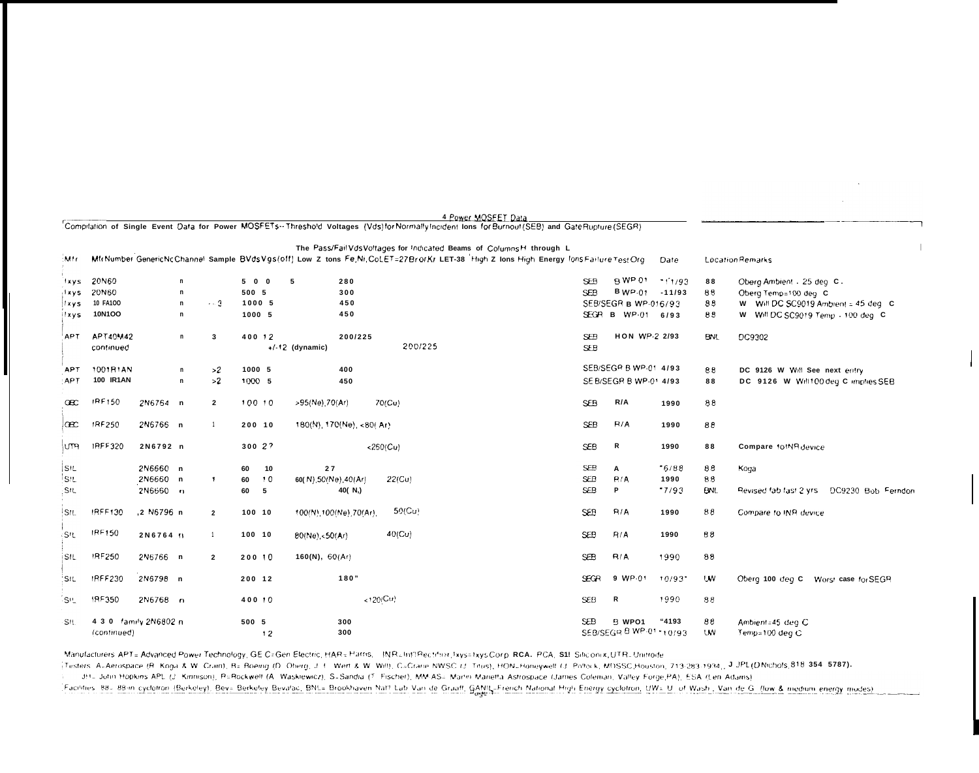|             |                  |                       |                |       |                 |                        | Compristion of Single Event Data for Power MOSFETS-Threshold Voltages (Vos)for Normally incident lons for Burnouf(SEB) and GateRupfure(SEGM)                                                                   |            |                          |          |            |                                            |
|-------------|------------------|-----------------------|----------------|-------|-----------------|------------------------|----------------------------------------------------------------------------------------------------------------------------------------------------------------------------------------------------------------|------------|--------------------------|----------|------------|--------------------------------------------|
| :Mfr        |                  |                       |                |       |                 |                        | The Pass/FailVdsVoltages for Indicated Beams of ColumnsH through L<br>MfrNumber Generic NcChannel Sample BVds Vgs(off) Low Z tons Fe, Ni, CoLET=27 BrorKr LET-38 High Z lons High Energy lons Failure Test Org |            |                          | Date     |            | <b>Location Remarks</b>                    |
|             |                  |                       |                |       |                 |                        |                                                                                                                                                                                                                |            |                          |          |            |                                            |
| lxys.       | 20N60            | n                     |                |       | 500             | -5<br>280              |                                                                                                                                                                                                                | <b>SEB</b> | B WP 01                  | 11/93    | 88         | Oberg Ambient . 25 deg C.                  |
| ixys        | 20N60            | n                     |                | 500 5 |                 | 300                    |                                                                                                                                                                                                                | <b>SEB</b> | BWP.01                   | $-11/93$ | 88         | Oberg Temp=100 deg C                       |
| <b>Ixys</b> | 10 FA100         | n                     | $\sim 3$       |       | 1000 5          | 450                    |                                                                                                                                                                                                                |            | SEB/SEGR B WP-016/93     |          | 88         | W Will DC SC9019 Ambient = 45 deg C        |
| ilxys.      | 10N1OO           | n                     |                |       | 1000 5          | 450                    |                                                                                                                                                                                                                |            | SEGR B WP-01 6/93        |          | 88         | W Will DC SC9019 Temp . 100 deg C          |
| <b>APT</b>  | APT40M42         | n                     | 3              |       | 400 12          | 200/225                |                                                                                                                                                                                                                | <b>SEB</b> | HON WP-2 2/93            |          | <b>BNL</b> | DC9302                                     |
|             | continued        |                       |                |       |                 | $+/-12$ (dynamic)      | 200/225                                                                                                                                                                                                        | <b>SEB</b> |                          |          |            |                                            |
| <b>APT</b>  | 1001B1AN         | n                     |                | >2    | 1000 5          | 400                    |                                                                                                                                                                                                                |            | SEB/SEGP B WP-01 4/93    |          | 88         | DC 9126 W Will See next entry              |
| <b>APT</b>  | <b>100 IR1AN</b> |                       | n              | >2    | 1000 5          | 450                    |                                                                                                                                                                                                                |            | SEB/SEGR B WP-01 4/93    |          | 88         | DC 9126 W Will100 deg C implies SEB        |
| Œ           | IRF150           | 2N6764 n              | $\overline{2}$ |       | 100 10          | >95(Ne),70(Ar)         | 70(Cu)                                                                                                                                                                                                         | <b>SEB</b> | R/A                      | 1990     | 88         |                                            |
| Œ           | IRF250           | 2N6766 n              | $\overline{1}$ |       | 200 10          | 180(N) 170(Ne) <80(Ar) |                                                                                                                                                                                                                | <b>SEB</b> | P/A                      | 1990     | 88         |                                            |
| <b>UTH</b>  | IRFF320          | 2N6792 n              |                |       | 30027           | $<$ 260(Cu)            |                                                                                                                                                                                                                | <b>SEB</b> | R                        | 1990     | 88         | Compare to INR device                      |
| <b>SIL</b>  |                  | 2N6660 n              |                | 60    | 10              | 27                     |                                                                                                                                                                                                                | <b>SEB</b> | A                        | 5/88     | 88         | Koga                                       |
| S!L         |                  | 2N6660 n              | $\mathbf{f}$   | 60    | $\overline{10}$ | 60(N),50(Ne),40(Ar)    | $22$ (Cu)                                                                                                                                                                                                      | <b>SEB</b> | R/A                      | 1990     | 88         |                                            |
| SIL         |                  | 2N6660 n              |                | 60    | 5               | 40(N,)                 |                                                                                                                                                                                                                | <b>SEB</b> | P                        | 7/93     | <b>BNL</b> | Revised fabiliast 2 yrs DC9230 Bob Ferndon |
| <b>SIL</b>  | IRFF130          | ,2 N6796 n            | $\overline{2}$ |       | 100 10          | 100(N),100(Ne),70(Ar), | 50(Cu)                                                                                                                                                                                                         | <b>SEB</b> | R/A                      | 1990     | 88         | Compare to INR device                      |
| :SIL        | IPF150           | 2N6764 B              | $\mathbf{1}$   |       | 100 10          | 80(Ne),<50(Ar)         | 40(Cu)                                                                                                                                                                                                         | <b>SEB</b> | R/A                      | 1990     | 88         |                                            |
| <b>SIL</b>  | IRF250           | 2N6766 n              | $\overline{2}$ |       | 200 10          | 160(N), 60(Ar)         |                                                                                                                                                                                                                | SEB        | R/A                      | 1990     | 88         |                                            |
| 'SIL        | IRFF230          | 2N6798 n              |                |       | 200 12          | 180"                   |                                                                                                                                                                                                                | SEGR       | 9 WP-01                  | 10/93    | <b>UW</b>  | Oberg 100 deg C Worst case for SEGR        |
| <b>SIL</b>  | <b>IRF350</b>    | 2N6768 n              |                |       | 400 10          | (120/Cu)               |                                                                                                                                                                                                                | <b>SEB</b> | R                        | 1990     | 88         |                                            |
| <b>SIL</b>  |                  | 4 3 0 family 2N6802 n |                | 500 5 |                 | 300                    |                                                                                                                                                                                                                | SEB.       | B WPO1                   | "4193    | 88         | Ambient=45 deg C                           |
|             | (continued)      |                       |                |       | 12              | 300                    |                                                                                                                                                                                                                |            | SEB/SEGR B WP-01 * 10/93 |          | <b>UW</b>  | Temp=100 deg C                             |

1 Power MOSFET Data

Manufacturers APT= Advanced Power Technology, GE C=Gen Electric, HAR= Harns, INR=Int1Rectritist, Ixys=1xys.Corp. RCA, PCA, S11 Silicionix,UTR=Unitrode

Testers: ALAerospace (R. Koga & W. Crain), B. Boeing (D. Oberg, J. L. Wert & W. Will), CLCrane NWSC (J. Titus), HONLHoneywelt (J. Pollock, MDSSC,Houston, 713-283-1934, J.J.PL(D.Nichols, 818-354-787).

Facilities 88 - 88 in cyclotron (Berkeley), Bev= Berkeley Bevalac, BNL= Brookhaven Nat1 Lab Van de Graaff, GANIL-French National High Energy cyclotron, UW= U. of Wash , Van de G. (low & medium energy modes)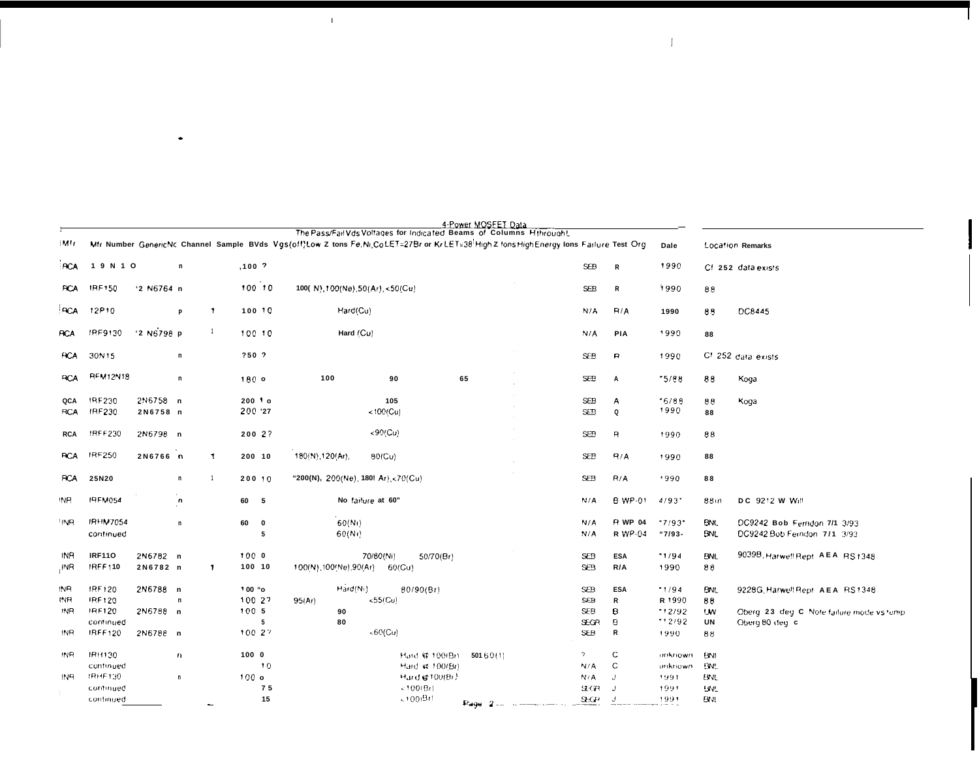|                 |                 |              |              |                  |              |                                                                                                                                          | 4-Power MOSEET Data |             |                |                      |            |                                               |
|-----------------|-----------------|--------------|--------------|------------------|--------------|------------------------------------------------------------------------------------------------------------------------------------------|---------------------|-------------|----------------|----------------------|------------|-----------------------------------------------|
| iMtr.           |                 |              |              |                  |              | The Pass/Fail Vds Voltages for Indicated Beams of Columns Hthrought                                                                      |                     |             |                |                      |            |                                               |
|                 |                 |              |              |                  |              | Mfr Number Generic Nc Channel Sample BVds Vgs(off)Low Z tons Fe, Ni, CoLET=27Br or KrLET=38 High Z fons HighEnergy lons Failure Test Org |                     |             |                | Dale                 |            | <b>Location Remarks</b>                       |
| <b>RCA</b>      | 1 9 N 1 O       |              | $\mathsf{n}$ | $,100$ $^2$      |              |                                                                                                                                          |                     | <b>SEB</b>  | R              | 1990                 |            | Cf 252 data exists                            |
| <b>RCA</b>      | <b>IRF150</b>   | '2 N6764 n   |              |                  | 100 10       | 100( N) 100(Ne) 50(Ar) <50(Cu)                                                                                                           |                     | <b>SEB</b>  | R              | 1990                 | 88         |                                               |
| <b>RCA</b>      | 12P10           |              | P            | -1               | 100 10       | Hard(Cu)                                                                                                                                 |                     | N/A         | R/A            | 1990                 | 89         | DC8445                                        |
| <b>RCA</b>      | IRF9130         | $'2$ N6798 p |              | $\overline{1}$   | 100 10       | Hard (Cu)                                                                                                                                |                     | N/A         | PIA            | 1990                 | 88         |                                               |
| <b>ACA</b>      | 30N15           |              | n            | 750.7            |              |                                                                                                                                          |                     | <b>SEB</b>  | R              | 1990                 |            | Cf 252 data exists                            |
| <b>RCA</b>      | <b>REM12N18</b> |              | $\mathsf{n}$ | 180 o            |              | 100<br>90                                                                                                                                | 65                  | <b>SEB</b>  | А              | 5/88                 | 88         | Koga                                          |
| QCA             | <b>IRF230</b>   | 2N6758 n     |              |                  | $2001$ o     | 105                                                                                                                                      |                     | <b>SEB</b>  | A              | $-6/88$              | 98         | Koga                                          |
| <b>RCA</b>      | IRF230          | 2N6758 n     |              |                  | 200 '27      | $< 100$ (Cu)                                                                                                                             |                     | <b>SEB</b>  | $\mathbf Q$    | 1990                 | 88         |                                               |
| <b>RCA</b>      | <b>IRFF230</b>  | 2N6798 n     |              |                  | 200 2?       | < 90 (Cu)                                                                                                                                |                     | <b>SEB</b>  | R              | 1990                 | 88         |                                               |
|                 |                 |              |              |                  |              |                                                                                                                                          |                     |             |                |                      |            |                                               |
| <b>RCA</b>      | <b>IRF250</b>   | 2N6766 n     |              | $\mathbf{I}$     | 200 10       | 180(N), 120(Ar),<br>80(Cu)                                                                                                               |                     | <b>SEB</b>  | R/A            | 1990                 | 88         |                                               |
| <b>RCA</b>      | 25N20           |              | n            |                  | 200 10       | "200(N), 200(Ne), 180! Ar), <70(Cu)                                                                                                      |                     | <b>SEB</b>  | R/A            | 1990                 | 88         |                                               |
| INR.            | <b>IRFM054</b>  |              | $\mathbf{a}$ | 60 5             |              | No failure at 60"                                                                                                                        |                     | N/A         | B WP-01        | 4/93"                | 88m        | DC 9212 W Will                                |
| 'INA            | <b>IRHM7054</b> |              | $\mathsf{n}$ | 60               | $\mathbf{0}$ | 60(Nt)                                                                                                                                   |                     | N/A         | <b>R</b> WP 04 | $17/93$ <sup>*</sup> | <b>BNL</b> | DC9242 Bob Ferndon 7/1 3/93                   |
|                 | continued       |              |              |                  | 5            | 60(N)                                                                                                                                    |                     | N/A         | R WP-04        | "7/93-               | <b>BNL</b> | DC9242 Bob Ferndon 7/1 3/93                   |
| INR             | <b>IRF110</b>   | 2N6782 n     |              | 1000             |              | 70/80(Ni)<br>50/70(Br)                                                                                                                   |                     | <b>SEB</b>  | <b>ESA</b>     | "1/94                | <b>BNL</b> | 9039B, Harwell Rept. A EA RS 1348             |
| $,$ INR         | <b>IRFF110</b>  | 2N6782 n     |              | $\mathbf{1}$     | 100 10       | 100(N), 100(Ne), 90(Ar)<br>60(Cu)                                                                                                        |                     | <b>SEB</b>  | R/A            | 1990                 | 88         |                                               |
| INR             | <b>IRF120</b>   | 2N6788 n     |              | 100 "o           |              | Hard(Ni)<br>80/90(Br)                                                                                                                    |                     | <b>SEB</b>  | <b>ESA</b>     | 1/94                 | BNL        | 9228G, Harwell Rept. AEA RS 1348              |
| INR             | IRF120          |              | n            |                  | 100 27       | $<$ 55 $(Cu)$<br>95(Ar)                                                                                                                  |                     | <b>SEB</b>  | R              | R 1990               | 88         |                                               |
| <b>INR</b>      | IRF120          | 2N6788 n     |              | 1005             |              | 90                                                                                                                                       |                     | <b>SEB</b>  | в              | 12/92                | UW         | Oberg, 23, deg. C. Note failure mode vs temp. |
|                 | continued       |              |              |                  | 5            | 80                                                                                                                                       |                     | <b>SEGR</b> | 8              | 12/92                | UN         | Oberg 80 deg c                                |
| INR             | IRFF120         | 2N6788 n     |              |                  | 100 27       | <60(Cu)                                                                                                                                  |                     | <b>SEB</b>  | R              | 1990                 | 88         |                                               |
| <b>INR</b>      | IRH130          |              | $\mathbf{r}$ | 1000             |              | Hard @ 100(Br)                                                                                                                           | $50160$ (1)         | 2           | C              | unknown              | BNI        |                                               |
|                 | continued       |              |              |                  | 10           | Hard @ 100/Br)                                                                                                                           |                     | N/A         | C              | unknown              | <b>BNL</b> |                                               |
| IN <sub>R</sub> | IRHE130         |              | $\mathsf{n}$ | 100 <sub>o</sub> |              | Hard @ 100(Br)                                                                                                                           |                     | N/A         | J              | 1991                 | <b>BNL</b> |                                               |
|                 | continued       |              |              |                  | 75           | 2100(Bt)                                                                                                                                 |                     | <b>SECR</b> | J              | 1991                 | <b>UVL</b> |                                               |
|                 | continued       |              |              |                  | 15           | 00(31)                                                                                                                                   | Page<br>$2 -$       | <b>SEGH</b> | $\cdot$        | 1991                 | <b>BNI</b> |                                               |

 $\sim 10^5$ 

 $\bullet$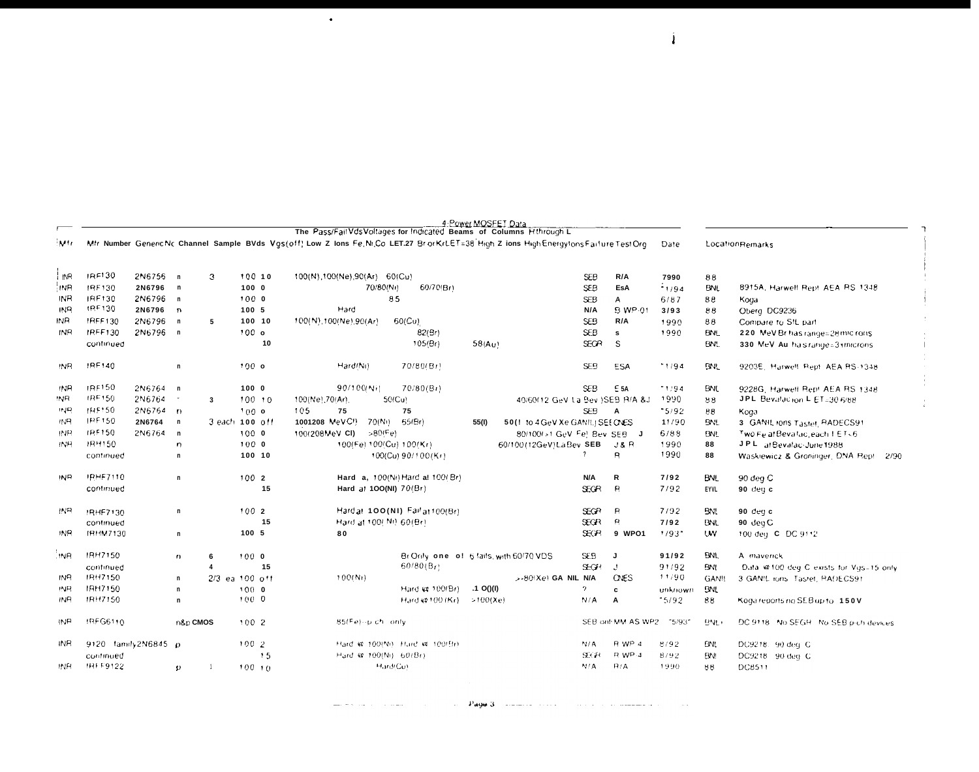|                 |                     |          |                          |                         |                  |            | The Pass/Fail Vds Voltages for Indicated Beams of Columns Hthrough L                                                                       |                                          |             | 4: Power MOSFET Data             |                 |                   |                     |              |                                          |
|-----------------|---------------------|----------|--------------------------|-------------------------|------------------|------------|--------------------------------------------------------------------------------------------------------------------------------------------|------------------------------------------|-------------|----------------------------------|-----------------|-------------------|---------------------|--------------|------------------------------------------|
| Mfr             |                     |          |                          |                         |                  |            | Mfr Number Generic Nc Channel Sample BVds Vgs(off) Low Z Ions Fe, Ni, Co LET.27 BrotKrLET=38 High Z ions High Energy tons Failure Test Org |                                          |             |                                  |                 |                   | Date                |              | LocationRemarks                          |
| INR.            | IRF130              | 2N6755 n |                          | 3                       |                  | 100 10     | 100(N), 100(Ne), 90(Ar) 60(Cu)                                                                                                             |                                          |             |                                  | <b>SEB</b>      | R/A               | 7990                | 88           |                                          |
| in R            | IRF130              | 2N6796 n |                          |                         | 1000             |            | 70/80(Ni)                                                                                                                                  | 60/70(Br)                                |             |                                  | <b>SEB</b>      | EsA               | 1/94                | <b>BNL</b>   | 8915A, Harwell Rept AEA RS 1348          |
| IN <sub>R</sub> | IRF130              | 2N6796 n |                          |                         | 1000             |            |                                                                                                                                            | 85                                       |             |                                  | <b>SEB</b>      | A                 | 6/87                | 88           | Koda                                     |
| <b>INR</b>      | 1RF130              | 2N6796 n |                          |                         | 100 5            |            | Hard                                                                                                                                       |                                          |             |                                  | N/A             | B WP-01           | 3/93                | 88           | Oberg DC9236                             |
| INR.            | IRFF130             | 2N6796 n |                          | 5                       |                  | 100 10     | 100(N), 100(Ne), 90(Ar).                                                                                                                   | 60(Cu)                                   |             |                                  | SE <sub>B</sub> | R/A               | 1990                | 88           | Compare to SIL part                      |
| <b>INR</b>      | <b>IRFF130</b>      | 2N6796 n |                          |                         | 100 <sub>o</sub> |            |                                                                                                                                            | 82(Br)                                   |             |                                  | <b>SEB</b>      | s                 | 1990                | <b>BNL</b>   | 220 MeV Brihas range=28 mlc rons         |
|                 | continued           |          |                          |                         |                  | 10         |                                                                                                                                            | 105(Br)                                  | 58(Au)      |                                  | <b>SECR</b>     | S                 |                     | <b>BNL</b>   | 330 MeV. Au. ha s range = 3 i microns.   |
| INR.            | IRF140              |          | $\mathsf{n}$             |                         | 100 <sub>o</sub> |            | Hard(Ni)                                                                                                                                   | 70/80(Br)                                |             |                                  | SE <sub>5</sub> | <b>ESA</b>        | 1194                | BNL          | 9203E, Hurwell Rept. AEA RS-1348         |
| <b>INR</b>      | IRF150              | 2N6764 n |                          |                         | 1000             |            | 90/100(Ni)                                                                                                                                 | 70/80(Bt)                                |             |                                  | <b>SEB</b>      | $E$ 5A            | 1194                | <b>BNL</b>   | 9228G, Harwell Rept. AEA RS 1348         |
| :NR             | IRF150              | 2N6764   | $\overline{\phantom{a}}$ | $\overline{\mathbf{3}}$ |                  | 100.10     | 100(Ne) 70(Ar).                                                                                                                            | 50(Cu)                                   |             | 40/60(12 GeV La Bev )SEB R/A &J  |                 |                   | 1990                | 88           | JPL Bevalacion L ET=30 6/88              |
| صرمير           | <b>IRF150</b>       | 2N6764 n |                          |                         | 100 <sub>o</sub> |            | 105<br>75                                                                                                                                  | 75                                       |             |                                  | SE <sub>B</sub> | A                 | $-5/92$             | 88           | Koga                                     |
| ਾਰਸ             | IRE150              | 2N6764   | $\mathsf{n}$             | 3 each 100 off          |                  |            | 1001208 MeVC!)<br>70(N)                                                                                                                    | 55(Br)                                   | 55(I)       | 50(! to 4 GeV Xe GANIL) SEE CNES |                 |                   | 11/90               | BNI.         | 3 GANIL Ions Tastel, RADECS91            |
| <b>INR</b>      | IRF150              | 2N6764   | $\mathsf{n}$             |                         | 1000             |            | 100(208MeV CI)<br>>80(Fe)                                                                                                                  |                                          |             | 80/100/>1 GeV Fel Bev SEB        |                 | J                 | 6/88                | <b>BNL</b>   | Two Fe at Bevallac, each 1 ET-6          |
| INR.            | HRH150              |          | n                        |                         | 1000             |            |                                                                                                                                            | 100(Fe) 100(Cu) 100(Kr)                  |             | 60/100 (12GeV) La Bey SEB        |                 | J& R              | 1990                | 88           | J.P.L. at Bevalac-June 1988              |
|                 | continued           |          | n                        |                         |                  | 100 10     |                                                                                                                                            | 100(Cu) 90/100(Kr)                       |             |                                  |                 | $\mathsf{R}$      | 1990                | 88           | Waskiewicz & Groninger, DNA Rep!<br>2/90 |
| IN <sub>R</sub> | <b>IRHE7110</b>     |          | n                        |                         | 1002             |            |                                                                                                                                            | Hard a, 100(Ni) Hard a! 100/ Br)         |             |                                  | N/A             | R                 | 7/92                | <b>BNL</b>   | 90 deg C                                 |
|                 | continued           |          |                          |                         |                  | 15         | Hard at 100(NI) 70(Br)                                                                                                                     |                                          |             |                                  | <b>SEGR</b>     | $\mathsf{R}$      | 7/92                | <b>EYVL</b>  | 90 deu c                                 |
| INR             | !RHF7130            |          | n                        |                         | 1002             |            |                                                                                                                                            | Hard at 100(NI) Fail at 100(Br)          |             |                                  | <b>SEGR</b>     | $\mathsf{R}$      | 7/92                | BNI.         | 90 $deg c$                               |
|                 | continued           |          |                          |                         |                  | 15         | Hard at 100( Ni) 60(Br).                                                                                                                   |                                          |             |                                  | Э£GR            | $\mathbf{a}$      | 7/92                | BNL          | 90 deg C                                 |
| INR.            | IRHM7130            |          | n                        |                         | 100, 5           |            | 80                                                                                                                                         |                                          |             |                                  | <b>REE</b>      | 9 WPO1            | $1/93$ <sup>*</sup> | <b>UW</b>    | 100 deg C DC 9112                        |
| INR.            | IRH7150             |          | $\mathbf{r}$             | 6                       | 1000             |            |                                                                                                                                            | BriOnly, one of 5 fails, with 60/70 VDS. |             |                                  | <b>SEB</b>      | J                 | 91/92               | BNI.         | A maverick                               |
|                 | continued           |          |                          | $\Delta$                |                  | 15         |                                                                                                                                            | $60/80(B_T)$                             |             |                                  | $2-$ GH         | $\cdot$           | 91/92               | <b>BNI</b>   | Data @100 deg C exists for Vgs=15 only.  |
| <b>INR</b>      | IRH7150             |          | n                        | $2/3$ ea 100 off        |                  |            | 100(Nt)                                                                                                                                    |                                          |             | $>80(Xe)$ GA NIL N/A             |                 | <b>ONES</b>       | 11/90               | <b>GAN!!</b> | 3 GANIL rons. Tastet, RADECS91           |
| INR             | IRH7150             |          | $\mathsf{n}$             |                         | 1000             |            |                                                                                                                                            | Hard vs. 100(Br)                         | $.1$ O()(I) |                                  | 2               | c                 | unknown             | <b>BNL</b>   |                                          |
| INR             | IRH7150             |          | n                        |                         | 100 0            |            |                                                                                                                                            | Hard @ 100 (Kr)                          | >100(Xe)    |                                  | N/A             | А                 | 15/92               | 88.          | Koga reports no SEB up to 150V           |
| INR             | IRFG6110            |          | n&p CMOS                 |                         | 100.2            |            | 85(Fe)--p-ch only                                                                                                                          |                                          |             |                                  |                 | SEB ont MM AS WP2 | - 15/931            | BNL,         | DC 9118 No SEGR. No SEB p-ch devices     |
| INR.            | 9120 tamily2N6845 p |          |                          |                         | 1002             |            |                                                                                                                                            | Hard @ 100(Ni) Hard @ 100/Br)            |             |                                  | N/A             | R WP 4            | 8/92                | <b>BNL</b>   | DC9218. 90 deg. C                        |
|                 | continued           |          |                          |                         |                  | 15         | Hard @ 100(Ni) 60(Br)                                                                                                                      |                                          |             |                                  | SCR             | R WP-4            | 8792                | EW!          | DC9218 90 deg. C                         |
| INR.            | IRFF9122            |          | $\mathbf{D}$             | -1                      |                  | $100 - 10$ |                                                                                                                                            | Hard(Cu)                                 |             |                                  | N/A             | B/A               | 1990                | 88           | DC8511                                   |

 $\bullet$ 

 $\mathbf{i}$ 

 $\mathbf{I}$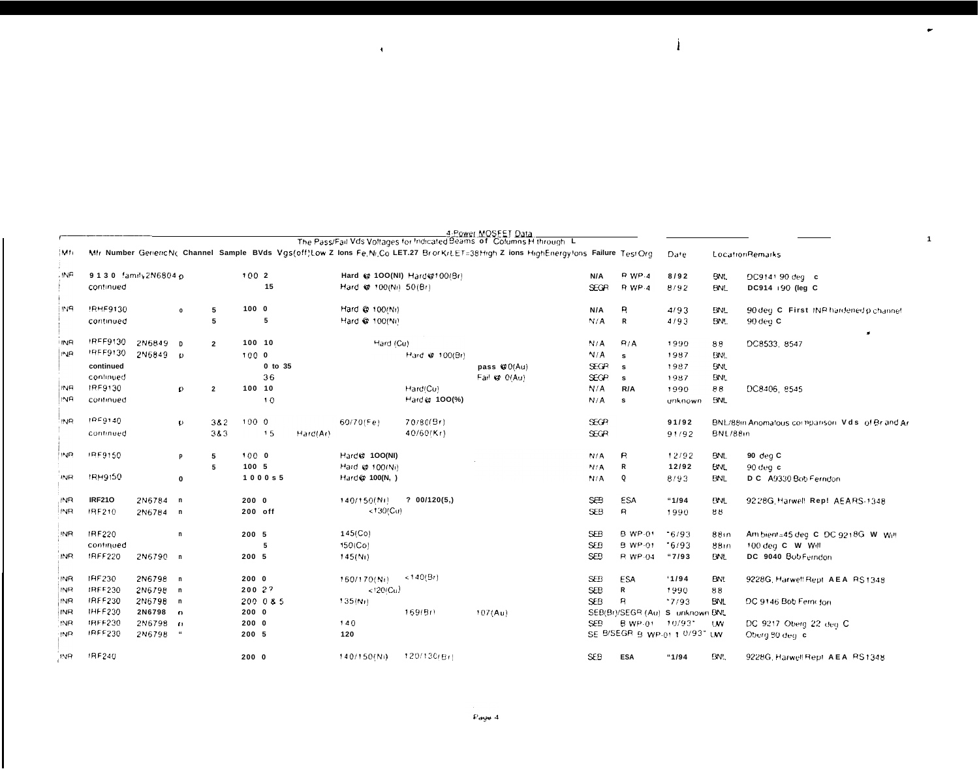|            |                      |          |              |                |         |           |          |                       |                             | 4-Power MOSEET Data<br>The Pass/Fail Vds Voltages for Indicated Beams of Columns H through L                                         |                 |                |                                 |            |                                                     |
|------------|----------------------|----------|--------------|----------------|---------|-----------|----------|-----------------------|-----------------------------|--------------------------------------------------------------------------------------------------------------------------------------|-----------------|----------------|---------------------------------|------------|-----------------------------------------------------|
| lMti       |                      |          |              |                |         |           |          |                       |                             | Mfr Number GenericNc Channel Sample BVds Vgs(off)Low Z lons Fe, Ni, Co LET.27 BrorKrLET=38High Z ions HighEnergylons Failure TestOrg |                 |                | Date                            |            | LocationRemarks                                     |
| . INF      | 9130 family 2N6804 p |          |              |                | 1002    |           |          |                       | Hard @ 100(NI) Hard@100(Br) |                                                                                                                                      | N/A             | <b>P</b> WP-4  | 8/92                            | <b>BNL</b> | DC9141-90 deg c                                     |
|            | continued            |          |              |                |         | 15        |          | Hard @ 100(Ni) 50(Br) |                             |                                                                                                                                      | <b>SEGR</b>     | <b>R</b> WP-4  | 8/92                            | <b>BNL</b> | DC914 + 90 (leg C                                   |
| IN R       | !RHF9130             |          | $\mathbf{o}$ | 5              | 1000    |           |          | Hard @ 100(Ni)        |                             |                                                                                                                                      | N/A             | я              | 4/93                            | <b>BNL</b> | 90 deg. C. First. INP hardened p channel            |
|            | continued            |          |              | 5              |         | 5         |          | Hard @ 100(Ni)        |                             |                                                                                                                                      | N/A             | R              | 4/93                            | BN.        | $90$ deg $C$                                        |
| ' INR      | IRFF9130             | 2N6849   | D            | $\overline{2}$ | 100 10  |           |          | Hard (Cu)             |                             |                                                                                                                                      | N/A             | R/A            | 1990                            | 88         | DC8533, 8547                                        |
| <b>INR</b> | IRFF9130             | 2N6849   | $\mathbf{D}$ |                | 1000    |           |          |                       | Hard @ 100(Br)              |                                                                                                                                      | N/A             | s              | 1987                            | <b>BNL</b> |                                                     |
|            | continued            |          |              |                |         | 0 to 35   |          |                       |                             | pass @ 0(Au)                                                                                                                         | SEGR            | s              | 1987                            | <b>BNL</b> |                                                     |
|            | continued            |          |              |                |         | 36        |          |                       |                             | Fail @ 0(Au)                                                                                                                         | <b>SEGP</b>     | s              | 1987                            | <b>BNL</b> |                                                     |
| INR        | IRF9130              |          | <sub>D</sub> | $\overline{2}$ | 100 10  |           |          |                       | Hard(Cu)                    |                                                                                                                                      | N/A             | R/A            | 1990                            | 88         | DC8406, 8545                                        |
| INR        | continued            |          |              |                |         | 10        |          |                       | Hard (d. 100(%)             |                                                                                                                                      | N/A             | $\mathbf{s}$   | unknown                         | <b>BNL</b> |                                                     |
| INR.       | 1059140              |          | $\mathbf{D}$ | 382            | 1000    |           |          | $60/70$ (Fe)          | 70/80(Br)                   |                                                                                                                                      | <b>SEGP</b>     |                | 91/92                           |            | BNL/88in Anomalous corniganson. Vidis lof Br and Ar |
|            | continued            |          |              | 383            |         | 15        | Hard(Ar) |                       | $40/60$ (Kr)                |                                                                                                                                      | <b>SEGR</b>     |                | 91/92                           | BNL/88in   |                                                     |
| INR.       | JRF9150              |          | p            | 5              | 1000    |           |          | Hard@ 100(NI)         |                             |                                                                                                                                      | N/A             | $\mathsf{R}$   | 12/92                           | <b>BNL</b> | 90 deg $C$                                          |
|            |                      |          |              | 5              | 100 5   |           |          | Hard @ 100(Ni)        |                             |                                                                                                                                      | N/A             | R              | 12/92                           | <b>BNL</b> | $90$ deg $c$                                        |
| <b>INR</b> | <b>IRH9150</b>       |          | 0            |                |         | 1000s5    |          | Hard @ 100(N, )       |                             |                                                                                                                                      | N/A             | Q              | 8/93                            | BNL        | D.C. A9330 Bob Ferndon                              |
| INR        | <b>IRF210</b>        | 2N6784   | $\mathbf{r}$ |                | 2000    |           |          | 140/150(Ni)           | ? 00/120(5, )               |                                                                                                                                      | SEB             | ESA            | "1/94"                          | <b>BNL</b> | 92 28G Harwell Rep! AEARS-1348                      |
| INR.       | IRF210               | 2N6784 n |              |                | 200 off |           |          | < 130(Cu)             |                             |                                                                                                                                      | <b>SEB</b>      | R              | 1990                            | 88         |                                                     |
| INR        | IRF220               |          | n            |                | 200 5   |           |          | 145(Co)               |                             |                                                                                                                                      | <b>SEB</b>      | B WP-01        | $-6/93$                         | 8810       | Am bient=45 deg. C. DC 9218G. W. Will               |
|            | continued            |          |              |                |         | 5         |          | 150(Co)               |                             |                                                                                                                                      | <b>SEB</b>      | <b>B</b> WP-01 | $-6/93$                         | 88m        | 100 deg C W Will                                    |
| INR.       | IRFF220              | 2N6790 n |              |                | 200 5   |           |          | 145(N)                |                             |                                                                                                                                      | SE <sub>B</sub> | R WP-04        | "7/93                           | <b>BNL</b> | DC 9040 Bob Ferndon                                 |
| INR        | IHF230               | 2N6798 n |              |                | 2000    |           |          | 160/170(Ni)           | (140/Bt)                    |                                                                                                                                      | <b>SEB</b>      | <b>ESA</b>     | 1/94                            | <b>BNL</b> | 9228G, Harwell Rept. AEA. RS 1348.                  |
| INR        | <b>IRFF230</b>       | 2N6798 n |              |                | 200 2?  |           |          | (120/C <sub>U</sub> ) |                             |                                                                                                                                      | <b>SEB</b>      | R              | 1990                            | 88         |                                                     |
| INR        | <b>IRFF230</b>       | 2N6798 n |              |                |         | 200 0 & 5 |          | 135(N)                |                             |                                                                                                                                      | <b>SEB</b>      | R              | 17/93                           | <b>BNL</b> | DC 9146 Bob Ferni for                               |
| INR        | <b>IHFF230</b>       | 2N6798   | $\mathbf{r}$ |                | 2000    |           |          |                       | 169(Br)                     | 107(Au)                                                                                                                              |                 |                | SEB(Br)/SEGR (Au) S unknown BNL |            |                                                     |
| :NR        | IRFF230              | 2N6798   | $\bullet$    |                | 2000    |           |          | 140                   |                             |                                                                                                                                      | SEB             | <b>B</b> WP-01 | - 10/93"                        | <b>UW</b>  | DC 9217 Oberg 22 deg C                              |
| INR        | <b>IRFF230</b>       | 2N6798   |              |                | 200 5   |           |          | 120                   |                             |                                                                                                                                      |                 |                | SE B/SEGR B WP-01 1 0/93" UW    |            | Oberg 80 deg c                                      |
| <b>INR</b> | IRF240               |          |              |                | 2000    |           |          | 140/150(Ni)           | 120/130/8rt                 |                                                                                                                                      | <b>SEB</b>      | <b>ESA</b>     | "1/94"                          | BN.        | 9228G, Harwell Rept. AEA. RS1348                    |

 $\langle \cdot \rangle$ 

 $\bullet$ 

 $\overline{\mathbf{1}}$ 

 $\mathbf{j}$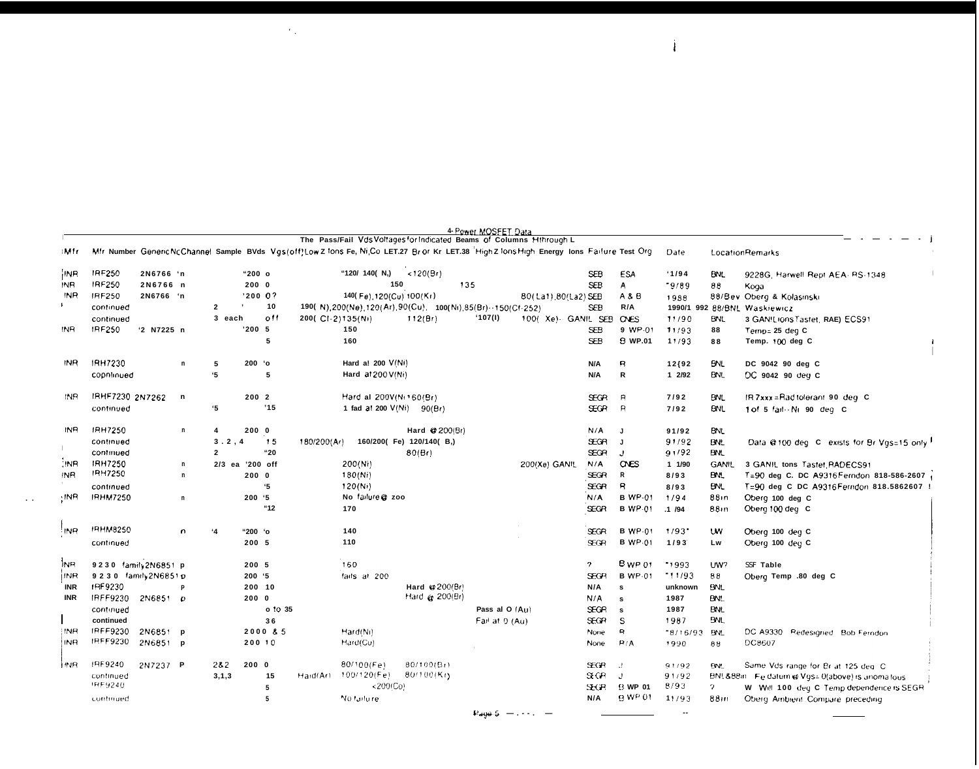|                 |                         |            |              |                 |         |           |                  | The Pass/Fail Vds Voltages for Indicated Beams of Columns Hthrough L |                         |     | 4- Power MOSFET Data |                                                                                                                                            |                |                |                      |              |                                                 |
|-----------------|-------------------------|------------|--------------|-----------------|---------|-----------|------------------|----------------------------------------------------------------------|-------------------------|-----|----------------------|--------------------------------------------------------------------------------------------------------------------------------------------|----------------|----------------|----------------------|--------------|-------------------------------------------------|
| i Mir           |                         |            |              |                 |         |           |                  |                                                                      |                         |     |                      | Mfr Number Generic Nc Channel Sample BVds Vgs(off)Low Z lons Fe, Ni,Co LET.27 Bror Kr LET.38 High Z lons High Energy Ions Failure Test Org |                |                | Date                 |              | LocationRemarks                                 |
| <b>INR</b>      | IRF250                  | 2N6766 'n  |              |                 | "200o   |           |                  | "120/ 140( N.)                                                       | < 120(Br)               |     |                      |                                                                                                                                            | <b>SEB</b>     | <b>ESA</b>     | 1/94                 | <b>BNL</b>   | 9228G, Harwell Rept AEA- RS-1348                |
| INR             | IRF250                  | 2N6766 n   |              |                 | 2000    |           |                  |                                                                      | 150                     | 135 |                      |                                                                                                                                            | <b>SEB</b>     | A              | "9/89"               | 88           | Kooa                                            |
| INR             | IRF250                  | 2N6766 'n  |              |                 | '200 0? |           |                  | 140(Fe), 120(Cu) 100(Kr)                                             |                         |     |                      | 80(La1) 80(La2) SEB                                                                                                                        |                | A & B          | 1988                 |              | 88/Bev Oberg & Kolasinski                       |
|                 | continued               |            |              | $\overline{2}$  |         | 10        |                  | 190( N) 200(Ne) 120(Ar) 90(Cu), 100(Ni) 85(Br) -- 150(Cf-252)        |                         |     |                      |                                                                                                                                            | <b>SEB</b>     | R/A            |                      |              | 1990/1 992 88/BNL Waskiewicz                    |
|                 | continued               |            |              | 3 each          |         | 0!1       | 200(CI-2)135(Ni) |                                                                      | 112(Br)                 |     | (107(1))             | 100(Xe)- GANIL SEB                                                                                                                         |                | OVES           | 11/90                | BNL          | 3 GANILIONS Tastet, RAE) ECS91                  |
| INR             | <b>IRF250</b>           | '2 N7225 n |              |                 | '200 5  |           |                  | 150                                                                  |                         |     |                      |                                                                                                                                            | <b>SEB</b>     | 9 WP-01        | 11/93                | 88           | Temp= 25 deg C                                  |
|                 |                         |            |              |                 |         | 5         |                  | 160                                                                  |                         |     |                      |                                                                                                                                            | <b>SEB</b>     | <b>B</b> WP.01 | 11/93                | 88           | Temp. 100 deg C                                 |
| INR             | IRH7230                 |            | n            | 5               | 200 'o  |           |                  | Hard a! 200 V(Ni)                                                    |                         |     |                      |                                                                                                                                            | N/A            | R              | 12 (92               | BNL          | DC 9042 90 deg C                                |
|                 | copntinued              |            |              | '5              |         | 5         |                  | Hard at 200 V(Ni)                                                    |                         |     |                      |                                                                                                                                            | N/A            | R              | 12/92                | BNI.         | DC 9042 90 deg C                                |
| INR.            | IRHF7230 2N7262         |            | n            |                 | 2002    |           |                  | Hard al 200V(Ni 160/Br)                                              |                         |     |                      |                                                                                                                                            | <b>SEGR</b>    | $\mathsf{R}$   | 7/92                 | <b>BNL</b>   | IR 7xxx = Rad tolerant 90 deg C                 |
|                 | continued               |            |              | '5              |         | '15       |                  | 1 fad at 200 $V(Ni)$ 90(Br)                                          |                         |     |                      |                                                                                                                                            | ŒGR            | $\mathsf{R}$   | 7/92                 | <b>BNL</b>   | 1 of 5 fail - Ni 90 deg C                       |
| <b>INR</b>      | IRH7250                 |            | $\mathsf{n}$ | 4               | 2000    |           |                  |                                                                      | Hard @ 200(Br)          |     |                      |                                                                                                                                            | N/A            | J.             | 91/92                | <b>BNL</b>   |                                                 |
|                 | continued               |            |              | 3.2.4           |         | 15        | 180/200(Ar)      |                                                                      | 160/200(Fe) 120/140(B,) |     |                      |                                                                                                                                            | ЭEGR           | J              | 91/92                | <b>BNL</b>   | Data @100 deg C exists for Br Vgs=15 only 1     |
|                 | continued               |            |              | $\overline{2}$  |         | "20"      |                  |                                                                      | 80(Br)                  |     |                      |                                                                                                                                            | <b>SEGR</b>    | J              | 91/92                | BNL          |                                                 |
| <b>INR</b>      | <b>IRH7250</b>          |            | n            | 2/3 ea '200 off |         |           |                  | 200(Ni)                                                              |                         |     |                      | 200(Xe) GANIL                                                                                                                              | N/A            | <b>CNES</b>    | 1 1/90               | <b>GANIL</b> | 3 GANIL tons Tastet. RADECS91                   |
| IN <sub>R</sub> | <b>IRH7250</b>          |            | n            |                 | 2000    |           |                  | 180(Ni)                                                              |                         |     |                      |                                                                                                                                            | <b>SEGR</b>    | R              | 8/93                 | BN.          | T=90 deg C. DC A9316 Ferndon 818-586-2607       |
|                 | continued               |            |              |                 |         | '5        |                  | 120(Ni)                                                              |                         |     |                      |                                                                                                                                            | SEGR           | R              | 8/93                 | <b>BNL</b>   | T=90 deg C DC A9316 Ferndon 818.5862607 !       |
| -INR            | <b>IRHM7250</b>         |            | $\mathsf{n}$ |                 | 200.95  |           |                  | No failure @ zoo                                                     |                         |     |                      |                                                                                                                                            | N/A            | <b>B</b> WP-01 | 1/94                 | 88 in        | Oberg 100 deg C                                 |
|                 |                         |            |              |                 |         | "12"      |                  | 170                                                                  |                         |     |                      |                                                                                                                                            | <b>SEGR</b>    | <b>B</b> WP-01 | .1 / 94              | 88in         | Oberg 100 deg C                                 |
| : INR           | <b>IRHM8250</b>         |            | n            | ٠4              | "200 'o |           |                  | 140                                                                  |                         |     |                      |                                                                                                                                            | SEGR           | <b>B</b> WP-01 | $1/93$ <sup>-1</sup> | UW           | Oberg 100 deg C                                 |
|                 | continued               |            |              |                 | 200 5   |           |                  | 110                                                                  |                         |     |                      |                                                                                                                                            | <b>SEGR</b>    | <b>B</b> WP-01 | 1/93                 | Lw           | Oberg 100 deg C                                 |
| <b>INR</b>      | 9230 family2N6851 p     |            |              |                 | 200 5   |           |                  | 160                                                                  |                         |     |                      |                                                                                                                                            | $\overline{2}$ | BWP01          | 1993                 | UW?          | SSF Table                                       |
| (INR            | 9 2 3 0 family 2N6851 p |            |              |                 | 200.95  |           |                  | fails at 200                                                         |                         |     |                      |                                                                                                                                            | <b>SEGR</b>    | <b>B</b> WP-01 | $-11/93$             | 88           | Oberg Temp .80 deg C                            |
| INR             | IRF9230                 |            |              |                 | 200 10  |           |                  |                                                                      | Hard @ 200(Br)          |     |                      |                                                                                                                                            | N/A            | s              | unknown              | <b>BNL</b>   |                                                 |
| <b>INR</b>      | IRFF9230                | 2N6851 p   |              |                 | 2000    |           |                  |                                                                      | Hard @ 200(Br)          |     |                      |                                                                                                                                            | N/A            | s              | 1987                 | <b>BNL</b>   |                                                 |
|                 | continued               |            |              |                 |         | $o$ to 35 |                  |                                                                      |                         |     | Pass al O (Au)       |                                                                                                                                            | <b>SEGR</b>    | $\mathbf{s}$   | 1987                 | <b>BNL</b>   |                                                 |
|                 | continued               |            |              |                 |         | 36        |                  |                                                                      |                         |     | Fail at 0 (Au)       |                                                                                                                                            | S€GR           | S              | 1987                 | <b>BNL</b>   |                                                 |
| INR             | IRFF9230                | 2N6851 p   |              |                 |         | 2000 & 5  |                  | Hard(Ni)                                                             |                         |     |                      |                                                                                                                                            | None           | R              | $*8/16/93$           | <b>BNL</b>   | DC A9330 Redesigned Bob Ferndon                 |
| INR             | <b>IRFF9230</b>         | 2N6851 p   |              |                 | 200 10  |           |                  | Hard(Cu)                                                             |                         |     |                      |                                                                                                                                            | None           | P/A            | 1990                 | 88           | DC8607                                          |
| i INR.          | IRF9240                 | 2N7237 P   |              | 262             | 2000    |           |                  | 80/100(Fe)                                                           | 80/100(Bt)              |     |                      |                                                                                                                                            | <b>SEGR</b>    | J.             | 91/92                | <b>BNL</b>   | Same Vds range for Br at 125 deg. C             |
|                 | continued               |            |              | 3, 1, 3         |         | 15        | Haid(Ar)         | 100/120(Fe)                                                          | $80/100$ (Kr)           |     |                      |                                                                                                                                            | X <sub>2</sub> | J              | 91/92                |              | BNL&88in Fe datum @ Vgs= 0(above) is unomallous |
|                 | IRF9240                 |            |              |                 |         | 5         |                  | $<$ 200(Co)                                                          |                         |     |                      |                                                                                                                                            | <b>SHOR</b>    | <b>B</b> WP 01 | 8/93                 | 2            | W. Will 100, deg. C. Temp dependence is SEGR    |
|                 | continued               |            |              |                 |         | 5         |                  | No failu re                                                          |                         |     |                      |                                                                                                                                            | N/A            | B WP 01        | 11/93                | 88m          | Oberg Ambient Compare preceding                 |
|                 |                         |            |              |                 |         |           |                  |                                                                      |                         |     |                      |                                                                                                                                            |                |                |                      |              |                                                 |
|                 |                         |            |              |                 |         |           |                  |                                                                      |                         |     | Page 5               |                                                                                                                                            |                |                |                      |              |                                                 |

 $\mathcal{L}_{\text{max}} = \mathcal{L}_{\text{max}}$ 

 $\sim 1000$ 

Page  $5 - \cdots -$ 

 $\mathbf{i}$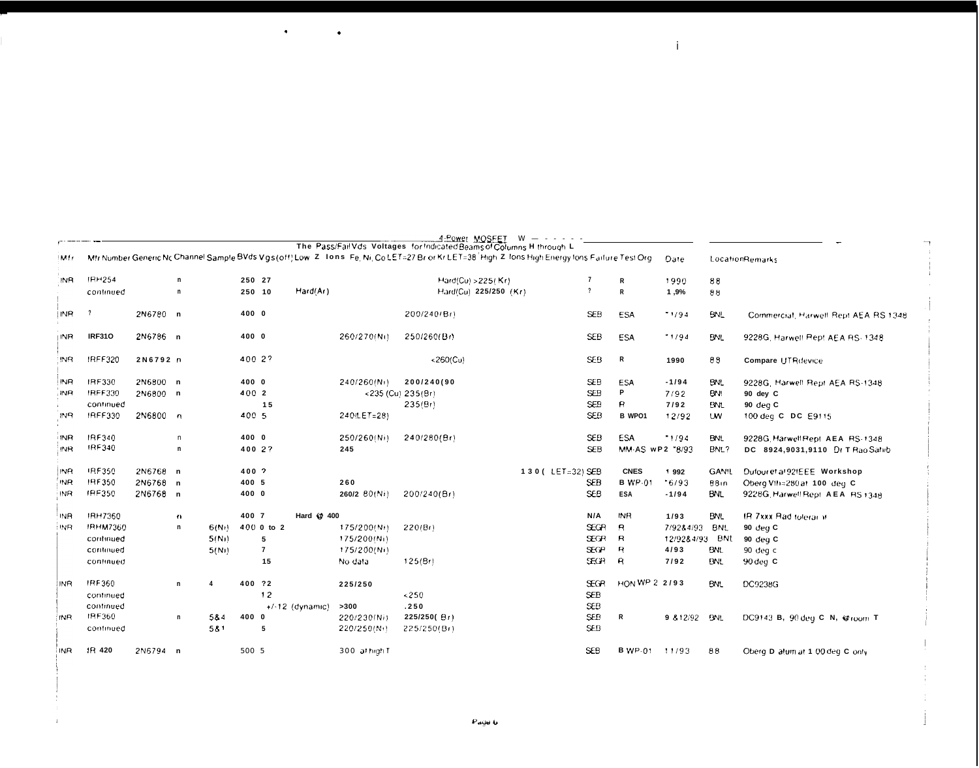|                 |                 |          |              |                    |        |                   |            |               | 4:Power MOSFEI                                                                                                                                                                                                         | W | the contract of the contract of |                 |                |              |                                      |
|-----------------|-----------------|----------|--------------|--------------------|--------|-------------------|------------|---------------|------------------------------------------------------------------------------------------------------------------------------------------------------------------------------------------------------------------------|---|---------------------------------|-----------------|----------------|--------------|--------------------------------------|
| Mfr             |                 |          |              |                    |        |                   |            |               | The Pass/Fail Vds Voltages for Indicated Beams of Columns H through L<br>Mfr Number Generic Nc Channel Sample BVds Vgs(off) Low Z Tons Fe, Ni, Co LET=27 Br or Kr LET=38 High Z Tons High Energy tons Failure Test Org |   |                                 |                 | Date           |              | LocationRemarks                      |
| <b>INR</b>      | <b>IRH254</b>   |          | n            |                    | 250 27 |                   |            |               | Hard(Cu) >225(Kr)                                                                                                                                                                                                      |   | -7                              | R               | 1990           | $\bf 8\,8$   |                                      |
|                 | continued       |          | $\mathbf n$  |                    |        | 250 10            | Hard(Ar)   |               | Hard(Cu) 225/250 (Kr)                                                                                                                                                                                                  |   | ?                               | R               | 1,9%           | 88           |                                      |
| i INR.          | - ?             | 2N6780 n |              |                    | 400 0  |                   |            |               | 200/240/Br)                                                                                                                                                                                                            |   | <b>SEB</b>                      | ESA             | 1/94           | <b>BNL</b>   | Commercial, Harwell Rept AEA RS 1348 |
| <b>INR</b>      | <b>IRF310</b>   | 2N6786 n |              |                    | 400 0  |                   |            | 260/270(Ni)   | 250/260(Br)                                                                                                                                                                                                            |   | <b>SEB</b>                      | <b>ESA</b>      | 11/94          | <b>BNL</b>   | 9228G, Harwell Rept AEA RS-1348      |
| IN <sub>R</sub> | IRFF320         | 2N6792 n |              |                    |        | 400 2?            |            |               | $<$ 260(Cu)                                                                                                                                                                                                            |   | SEB                             | R               | 1990           | 88           | <b>Compare UTRdevice</b>             |
| INR             | IRF330          | 2N6800 n |              |                    | 400 0  |                   |            | 240/260(N))   | 200/240(90                                                                                                                                                                                                             |   | <b>SEB</b>                      | ESA             | $-1/94$        | <b>BNL</b>   | 9228G, Harwell Rept AEA RS-1348      |
| <b>INR</b>      | IRFF330         | 2N6800 n |              |                    | 400 2  |                   |            |               | <235 (Cu) 235(Br)                                                                                                                                                                                                      |   | <b>SEB</b>                      | P               | 7/92           | BNI          | 90 dey C                             |
|                 | continued       |          |              |                    |        | 15                |            |               | 235(Br)                                                                                                                                                                                                                |   | <b>SEB</b>                      | B               | 7/92           | <b>BNL</b>   | 90 deg C                             |
| IN <sub>R</sub> | <b>IRFF330</b>  | 2N6800 n |              |                    | 400 5  |                   |            | 240(LET=28)   |                                                                                                                                                                                                                        |   | <b>SEB</b>                      | <b>B</b> WPO1   | 12/92          | <b>UW</b>    | 100 deg C DC E9115                   |
| <b>INR</b>      | IRF340          |          | $\sqrt{n}$   |                    | 400 0  |                   |            | 250/260(Ni)   | 240/280(Br)                                                                                                                                                                                                            |   | <b>SEB</b>                      | <b>ESA</b>      | 1/94           | <b>BNL</b>   | 9228G Harwell Rept. AEA RS-1348      |
| <b>INR</b>      | IRF340          |          | n            |                    |        | 400 2?            |            | 245           |                                                                                                                                                                                                                        |   | <b>SEB</b>                      | MM-AS wP2 "8/93 |                | BNL?         | DC 8924,9031,9110 Dr T Rao Sahib     |
| INR             | IRF350          | 2N6768 n |              |                    | 400 7  |                   |            |               |                                                                                                                                                                                                                        |   | 130 (LET=32) SEB                | <b>CNES</b>     | 1992           | <b>GAN!L</b> | Dufour et al 92 EEE Workshop         |
| 'INR            | <b>IRF350</b>   | 2N6768   | $\mathbf n$  |                    | 400 5  |                   |            | 260           |                                                                                                                                                                                                                        |   | <b>SEB</b>                      | <b>B</b> WP-01  | $-6/93$        | 88in         | Oberg VIII=280 at 100 deg C          |
| INR             | IRF350          | 2N6768 n |              |                    | 400 0  |                   |            | 260/2 80(Ni)  | 200/240(Br)                                                                                                                                                                                                            |   | <b>SEB</b>                      | <b>ESA</b>      | $-1/94$        | <b>BNL</b>   | 9228G, Harwell Rept. AEA RS1348      |
| IN <sub>R</sub> | <b>IRH7360</b>  |          | $\mathbf{u}$ |                    | 400 7  |                   | Hard @ 400 |               |                                                                                                                                                                                                                        |   | N/A                             | <b>INR</b>      | 1/93           | <b>BNL</b>   | IR 7xxx Rad toterar #                |
| INR.            | <b>IRHM7360</b> |          | n            | 6(Nt)              |        | 400 0 to 2        |            | 175/200(Ni)   | 220/Br)                                                                                                                                                                                                                |   | <b>SEGR</b>                     | B               | 7/92&4/93      | <b>BNL</b>   | 90 deg C                             |
|                 | continued       |          |              | 5(N <sub>1</sub> ) |        | 5                 |            | 175/200(Ni)   |                                                                                                                                                                                                                        |   | <b>SEGR</b>                     | $\mathsf{R}$    | 12/92&4/93 BNL |              | 90 deg C                             |
|                 | continued       |          |              | 5(N)               |        | $\overline{7}$    |            | 175/200(Ni)   |                                                                                                                                                                                                                        |   | <b>SECP</b>                     | $\mathbf{R}$    | 4/93           | <b>BNL</b>   | 90 deg c                             |
|                 | continued       |          |              |                    |        | 15                |            | No data       | 125(Br)                                                                                                                                                                                                                |   | <b>SECR</b>                     | $\mathsf{R}$    | 7/92           | <b>BNL</b>   | 90 deg C                             |
| IN <sub>R</sub> | IRF360          |          | n.           | 4                  | 400 ?2 |                   |            | 225/250       |                                                                                                                                                                                                                        |   | <b>SEGR</b>                     | HON WP 2 2/93   |                | <b>BNL</b>   | DC9238G                              |
|                 | continued       |          |              |                    |        | 12                |            |               | < 250                                                                                                                                                                                                                  |   | <b>SEB</b>                      |                 |                |              |                                      |
|                 | continued       |          |              |                    |        | $+/-12$ (dynamic) |            | >300          | .250                                                                                                                                                                                                                   |   | <b>SEB</b>                      |                 |                |              |                                      |
| INR.            | IRF360          |          | n            | 5&4                | 400 0  |                   |            | 220/230(Ni)   | 225/250(Br)                                                                                                                                                                                                            |   | <b>SEB</b>                      | R               | 9 812/92 BNL   |              | DC9143 B, 90 deg C N, @ room T       |
|                 | continued       |          |              | 581                |        | 5                 |            | 220/250(N)    | 225/250(Br)                                                                                                                                                                                                            |   | SEB                             |                 |                |              |                                      |
| <b>INR</b>      | IR 420          | 2N6794 n |              |                    | 500 5  |                   |            | 300 at high T |                                                                                                                                                                                                                        |   | <b>SEB</b>                      | <b>B</b> WP-01  | 11/93          | 88           | Oberg D alum at 1.00 deg C only      |

 $\mathbf{i}$ 

 $\bullet$ 

ï

 $\bullet$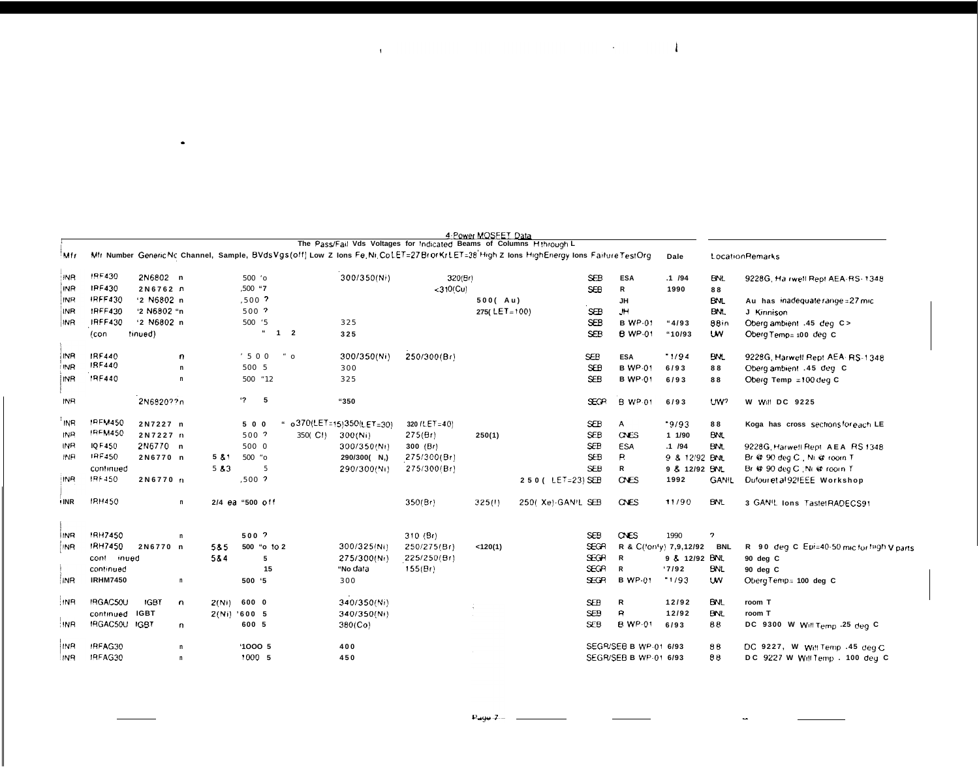|            |                 |             |              |                 |          |                                    |                         |                         |                                                                      | 4-Power MOSFET Data |                                                                                                                                             |             |                       |                        |                          |                                           |
|------------|-----------------|-------------|--------------|-----------------|----------|------------------------------------|-------------------------|-------------------------|----------------------------------------------------------------------|---------------------|---------------------------------------------------------------------------------------------------------------------------------------------|-------------|-----------------------|------------------------|--------------------------|-------------------------------------------|
| Mfr        |                 |             |              |                 |          |                                    |                         |                         | The Pass/Fail Vds Voltages for Indicated Beams of Columns Hthrough L |                     | Mfr Number Generic Nc Channel, Sample, BVds Vgs(off) Low Z Ions Fe, Ni, Co LET=27 BrorKrLET=38 High Z Ions HighEnergy Ions Failure Test Org |             |                       | Dale                   |                          | Location Remarks                          |
| <b>INR</b> | IRF430          | 2N6802 n    |              |                 | 500 'o   |                                    |                         | 300/350(Ni)             | 320(Br)                                                              |                     |                                                                                                                                             | <b>SEB</b>  | <b>ESA</b>            | .1 / 94                | BNL                      | 9228G, Ha rwell Rept AEA-RS- 1348         |
| INR        | IPF430          | 2N6762 n    |              |                 | .500 "7  |                                    |                         |                         | <310/Cu)                                                             |                     |                                                                                                                                             | SEB         | R                     | 1990                   | 88                       |                                           |
| INR        | <b>IRFF430</b>  | '2 N6802 n  |              |                 | $,500$ ? |                                    |                         |                         |                                                                      | 500(Au)             |                                                                                                                                             |             | JH                    |                        | <b>BNL</b>               | Au has inadequate range = 27 mic          |
| INR        | <b>IRFF430</b>  | '2 N6802 "n |              |                 | 500 ?    |                                    |                         |                         |                                                                      | 275( $LET = 100$ )  |                                                                                                                                             | SEB         | JH.                   |                        | BNL                      | J Kinnison                                |
| <b>INR</b> | <b>IRFF430</b>  | '2 N6802 n  |              |                 | 500 '5   |                                    |                         | 325                     |                                                                      |                     |                                                                                                                                             | <b>SEB</b>  | <b>B</b> WP-01        | "4/93                  | 88in                     | Oberg ambient .45 deg C>                  |
|            | (con            | tinued)     |              |                 |          | $\epsilon\epsilon$<br>$\mathbf{1}$ | $\overline{\mathbf{2}}$ | 325                     |                                                                      |                     |                                                                                                                                             | <b>SEP</b>  | <b>B</b> WP-01        | "10/93                 | <b>UW</b>                | Oberg Temp= 100 deg C                     |
| INR        | IRF440          |             | $\mathbf{r}$ |                 | 500      |                                    | $\degree$ O             | 300/350(Ni)             | 250/300(Br)                                                          |                     |                                                                                                                                             | <b>SEB</b>  | <b>ESA</b>            | 1/94                   | <b>BML</b>               | 9228G, Harwell Rept AEA: RS-1 348         |
| INR        | IRF440          |             | n            |                 | 500 5    |                                    |                         | 300                     |                                                                      |                     |                                                                                                                                             | <b>SEB</b>  | <b>B</b> WP-01        | 6/93                   | 88                       | Oberg ambient .45 deg C                   |
| <b>INR</b> | 1RF440          |             | $\mathbf n$  |                 | 500 * 12 |                                    |                         | 325                     |                                                                      |                     |                                                                                                                                             | <b>SEB</b>  | <b>B</b> WP-01        | 6/93                   | 88                       | Oberg Temp =100 deg C                     |
| INR        |                 | 2N6820??n   |              |                 | $'$ ? 5  |                                    |                         | "350                    |                                                                      |                     |                                                                                                                                             | <b>SEGR</b> | <b>B</b> WP-01        | 6/93                   | UW?                      | W Will DC 9225                            |
| <b>INR</b> | <b>IREM450</b>  | 2N7227 n    |              |                 | 500      |                                    |                         | o370(LET=15)350(LET=30) | 320 (LET=40)                                                         |                     |                                                                                                                                             | <b>SEB</b>  | A                     | .9/93                  | 88                       | Koga has cross sections for each LE       |
| INR        | <b>IRFM450</b>  | 2N7227 n    |              |                 | 500 ?    |                                    | 350(CI)                 | 300(Ni)                 | 275(Br)                                                              | 250(1)              |                                                                                                                                             | <b>SEB</b>  | CNES                  | 11/90                  | <b>BNL</b>               |                                           |
| INR        | IQ F450         | 2N6770 n    |              |                 | 500 0    |                                    |                         | 300/350(Ni)             | 300 $(Bt)$                                                           |                     |                                                                                                                                             | <b>SEB</b>  | <b>ESA</b>            | .1 / 94                | <b>BNL</b>               | 9228G, Harwell Rept. A.E.A., RS 1348.     |
| INR        | IRF450          | 2N6770 n    |              | 5 & 1           | 500 "O   |                                    |                         | 290/300( N,)            | 275/300(Br)                                                          |                     |                                                                                                                                             | <b>SEB</b>  | P.                    | 9 & 12/92 BNL          |                          | Br @ 90 deg C. Ni @ room T                |
|            | continued       |             |              | 583             |          | 5                                  |                         | 290/300(Ni)             | 275/300(Br)                                                          |                     |                                                                                                                                             | <b>SEB</b>  | R                     | 9 & 12/92 BNL          |                          | Br @ 90 deg C : Ni @ rooin T              |
| INR        | IRF450          | 2N6770 n    |              |                 | $.500$ ? |                                    |                         |                         |                                                                      |                     | 250 ( LET=23) SEB                                                                                                                           |             | <b>ONES</b>           | 1992                   | <b>GANIL</b>             | Dufour et al 92FEEE Workshop              |
| <b>INR</b> | <b>IRH450</b>   |             | n            | 2/4 ea "500 off |          |                                    |                         |                         | 350(Br)                                                              | 325(1)              | 250( Xe)-GAN/L SEB                                                                                                                          |             | <b>CNES</b>           | 11/90                  | <b>BNL</b>               | 3 GANIL Ions TastetRADECS91               |
| <b>INB</b> | <b>IRH7450</b>  |             | n            |                 | 500 ?    |                                    |                         |                         | 310(Br)                                                              |                     |                                                                                                                                             | <b>SEB</b>  | <b>CNES</b>           | 1990                   | $\overline{\phantom{a}}$ |                                           |
| <b>INR</b> | IRH7450         | 2N6770 n    |              | 585             |          | 500 "o to 2                        |                         | 300/325/Ni)             | 250/275(Br)                                                          | < 120(1)            |                                                                                                                                             | SEGR        |                       | R & C(fonty) 7,9,12/92 | <b>BNL</b>               | R 90 deg C Epi=40-50 mic for high V parts |
|            | cont inued      |             |              | 584             |          | 5                                  |                         | 275/300(Ni)             | 225/250(Br)                                                          |                     |                                                                                                                                             | <b>SEGR</b> | R                     | 9 & 12/92 BNL          |                          | 90 deg C                                  |
|            | continued       |             |              |                 |          | 15                                 |                         | "No data                | 155(Br)                                                              |                     |                                                                                                                                             | SEGR        | R                     | 17/92                  | <b>BNL</b>               | 90 deg C                                  |
| 'INR       | <b>IRHM7450</b> |             | n            |                 | 500 '5   |                                    |                         | 300                     |                                                                      |                     |                                                                                                                                             | <b>SEGR</b> | <b>B</b> WP-01        | 11/93                  | <b>UW</b>                | Oberg Temp= 100 deg C                     |
| !NR        | IRGAC50U        | <b>IGBT</b> | $\mathbf{r}$ | 2(Ni)           | 600 0    |                                    |                         | 340/350(Ni)             |                                                                      |                     |                                                                                                                                             | <b>SEB</b>  | R                     | 12/92                  | BNL                      | room T                                    |
|            | continued       | <b>IGBT</b> |              | $2(Ni)$ '600 5  |          |                                    |                         | 340/350(Ni)             |                                                                      |                     |                                                                                                                                             | <b>SEB</b>  | $\mathbf{R}$          | 12/92                  | <b>BNL</b>               | room T                                    |
| : INR      | IRGAC50U IGBT   |             | n.           |                 | 600 5    |                                    |                         | 380(Co)                 |                                                                      |                     |                                                                                                                                             | <b>SEB</b>  | <b>B</b> WP-01        | 6/93                   | 88                       | DC 9300 W Will Temp .25 deg C             |
| INR        | IRFAG30         |             | $\mathsf{n}$ |                 | '10005   |                                    |                         | 400                     |                                                                      |                     |                                                                                                                                             |             | SEGR/SEB B WP-01 6/93 |                        | 88                       | DC 9227, W Will Temp .45 deg C            |
| <b>INR</b> | IRFAG30         |             | n            |                 | 1000 5   |                                    |                         | 450                     |                                                                      |                     |                                                                                                                                             |             | SEGR/SEB B WP-01 6/93 |                        | 88                       | DC 9227 W Will Temp . 100 deg C           |

the contract of the contract of the contract of the contract of the contract of

 $\sim$ 

 $P_499 - -$ 

 $\mathcal{L}_{\mathcal{A}}$ 

 $\sim$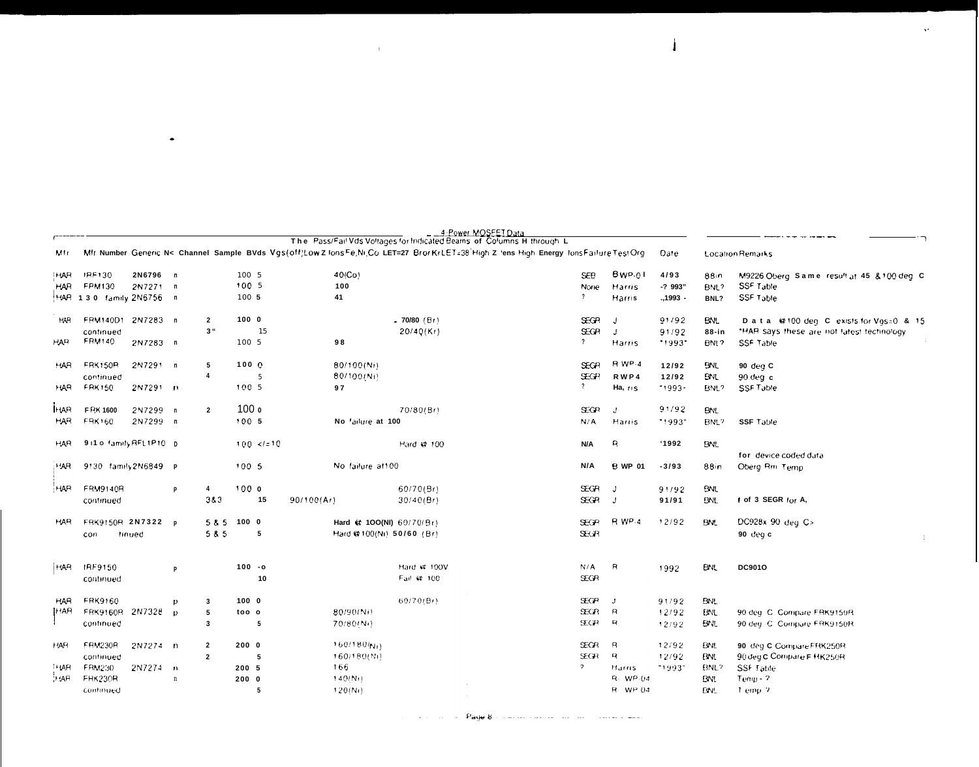|                                 |                                                    |                      |                                  |                |                          |             |                                                        | The Pass/Fail Vds Voltages for Indicated Beams of Columns Hithrough L                                                                      |                         |                            |                            |                              |                          |                                                                                       |
|---------------------------------|----------------------------------------------------|----------------------|----------------------------------|----------------|--------------------------|-------------|--------------------------------------------------------|--------------------------------------------------------------------------------------------------------------------------------------------|-------------------------|----------------------------|----------------------------|------------------------------|--------------------------|---------------------------------------------------------------------------------------|
| Mtr.                            |                                                    |                      |                                  |                |                          |             |                                                        | Mfr Number Generic N< Channel Sample BVds Vgs(off)Low Z lons Fe, Ni, Co LET=27 Bror KrLET=38 High Z 'ens High Energy lons Failure Test Org |                         |                            |                            | Date                         |                          | <b>Location Remarks</b>                                                               |
| <b>HAR</b><br><b>HAR</b>        | IRF130<br><b>FRM130</b><br>HAR 130 family 2N6756 n | 2N6796 n<br>2N7271 n |                                  |                | 100 5<br>1005<br>100 5   | 41          | 40(Co)<br>100                                          |                                                                                                                                            | $\cdot$                 | <b>SEB</b><br>None         | Bwp-01<br>Harris<br>Harris | 4/93<br>-? 993"<br>., 1993 - | 88in<br>BNL?<br>BNL?     | M9226 Oberg. Same. result at 45, & 100 deg. C<br><b>SSF Table</b><br><b>SSF Table</b> |
| HAR                             | <b>FRM140D1</b>                                    | 2N7283 n             | $\overline{2}$                   |                | 1000                     |             |                                                        | .70/80 (B)                                                                                                                                 |                         | <b>EGR</b>                 | J                          | 91/92                        | <b>BNL</b>               | Data @100 deg C exists for Vgs=0 & 15                                                 |
| <b>HAR</b>                      | continued<br>FRM140                                | 2N7283 n             |                                  | 3 <sup>u</sup> | 15<br>100 5              | 98          |                                                        | 20/40(Kt)                                                                                                                                  | $\overline{\mathbf{?}}$ | <b>SEGR</b>                | J<br>Harris                | 91/92<br>-1993-              | 88-in<br>BNL?            | "HAR says these are not latest technology<br><b>SSF Table</b>                         |
| <b>HAR</b>                      | <b>FRK150R</b><br>continued                        | 2N7291 n             | 5<br>$\overline{\mathbf{4}}$     |                | 100 <sub>o</sub><br>5    |             | 80/100(Ni)<br>80/100(Ni)                               |                                                                                                                                            |                         | <b>SEGR</b><br><b>EGP</b>  | R WP-4<br>RWP4             | 12/92<br>12/92               | <b>BNL</b><br><b>BNL</b> | 90 deg C<br>$90$ deg c                                                                |
| HAR.                            | <b>FRK150</b>                                      | 2N7291 n             |                                  |                | 1005                     | 97          |                                                        |                                                                                                                                            | $\gamma$                |                            | Ha, ris                    | 1993-                        | BNL?                     | SSF Table                                                                             |
| <b>HAR</b><br><b>HAR</b>        | F RK 1600<br><b>FRK160</b>                         | 2N7299 n<br>2N7299 n | $\overline{2}$                   |                | 100 <sub>o</sub><br>1005 |             | No 'ailure at 100                                      | 70/80(Bt)                                                                                                                                  |                         | <b>SEGR</b><br>N/A         | J.<br>Harris               | 91/92<br>"1993"              | <b>BNL</b><br>BNL?       | <b>SSF Table</b>                                                                      |
| <b>HAR</b>                      | 9 i1 o family RFL1P10 D                            |                      |                                  |                | $100 \le l = 10$         |             |                                                        | Hard @ 100                                                                                                                                 | N/A                     |                            | R                          | 1992                         | <b>BNL</b>               | for device coded data                                                                 |
| <b>HAR</b>                      | 9130 family2N6849 P                                |                      |                                  |                | 1005                     |             | No failure at 100                                      |                                                                                                                                            | N/A                     |                            | <b>B</b> WP 01             | $-3/93$                      | 88in                     | Oberg Rm Temp                                                                         |
| HAR                             | FRM9140R<br>continued                              |                      | 4<br>P                           | 383            | 1000<br>15               | 90/100 (Ar) |                                                        | 60/70(Br)<br>30/40(Br)                                                                                                                     |                         | <b>SEGR</b><br><b>EGR</b>  | J                          | 91/92<br>91/91               | BNL<br>BNL               | of 3 SEGR for A,                                                                      |
| HAR                             | FRK9150R 2N7322 P<br>con                           | tinued               |                                  | 5 & 5<br>5 & 5 | 1000<br>5                |             | Hard (# 100(NI) 60/70(Br)<br>Hard @ 100(Ni) 50/60 (Br) |                                                                                                                                            |                         | <b>SEGR</b><br><b>SEGR</b> | <b>R</b> WP-4              | 12/92                        | <b>BNL</b>               | DC928x 90 deg C><br>90 deg c                                                          |
| <b>HAR</b>                      | IRF9150<br>continued                               |                      | P                                |                | $100 - 0$<br>10          |             |                                                        | Hard @ 100V<br>Fail @ 100                                                                                                                  | N/A                     | SEGR                       | R                          | 1992                         | <b>BNL</b>               | DC901O                                                                                |
| <b>HAR</b><br><b>HAR</b>        | <b>FRK9160</b><br>FRK9160R 2N7328                  |                      | 3<br>Ð<br>5<br>$\mathbf{D}$      |                | 1000<br>too o            |             | 80/90/Ni)                                              | 60/70(Bt)                                                                                                                                  |                         | <b>SEGP</b><br>SECR.       | Ĵ<br>$\mathsf{R}$          | 91/92<br>12/92               | BN.<br><b>BML</b>        | 90 deg. C. Compare FRK9150R                                                           |
|                                 | continued                                          |                      | $\overline{\mathbf{3}}$          |                | 5                        |             | 70/80/N)                                               |                                                                                                                                            |                         | <b>SECP</b>                | $\mathbf{R}$               | 12/92                        | <b>ENL</b>               | 90 deg. C. Compare ERK9150R.                                                          |
| <b>HAR</b>                      | <b>FRM230R</b><br>continued                        | 2N7274 n             | $\overline{2}$<br>$\overline{2}$ |                | 2000<br>5                |             | $160/180(N_H)$<br>160/180(Ni)                          |                                                                                                                                            |                         | <b>SEGR</b><br><b>SEGR</b> | R<br>$\mathbf{R}$          | 12/92<br>12/92               | BNL<br>BNL               | 90 deg C Compare FRK250R<br>90 deg C Compare F HK250R                                 |
| <sup>11</sup> IAR<br><b>HAR</b> | FRM230<br>FRK230R                                  | 2N7274 n             | $\mathbf n$                      |                | 200 5<br>2000            | 166         | 140(Nt)                                                |                                                                                                                                            | $\overline{ }$          |                            | Harris<br>R. WP.04         | "1993"                       | BNL?<br><b>BNI</b>       | SSF Table<br>$Temo - 2$                                                               |
|                                 | continued                                          |                      |                                  |                | 5                        |             | 120(Nt)                                                |                                                                                                                                            |                         |                            | R WP 04                    |                              | EN!                      | Temp 2                                                                                |

 $\mathcal{L}^{\mathcal{L}}(\mathcal{L}^{\mathcal{L}})$  and  $\mathcal{L}^{\mathcal{L}}(\mathcal{L}^{\mathcal{L}})$  and  $\mathcal{L}^{\mathcal{L}}(\mathcal{L}^{\mathcal{L}})$ 

 $\mathbf{A}^{\text{max}}$ 

 $\sim$ 

 $\mathbf{I}$ 

and a series of **Page 8** compared model in the compared model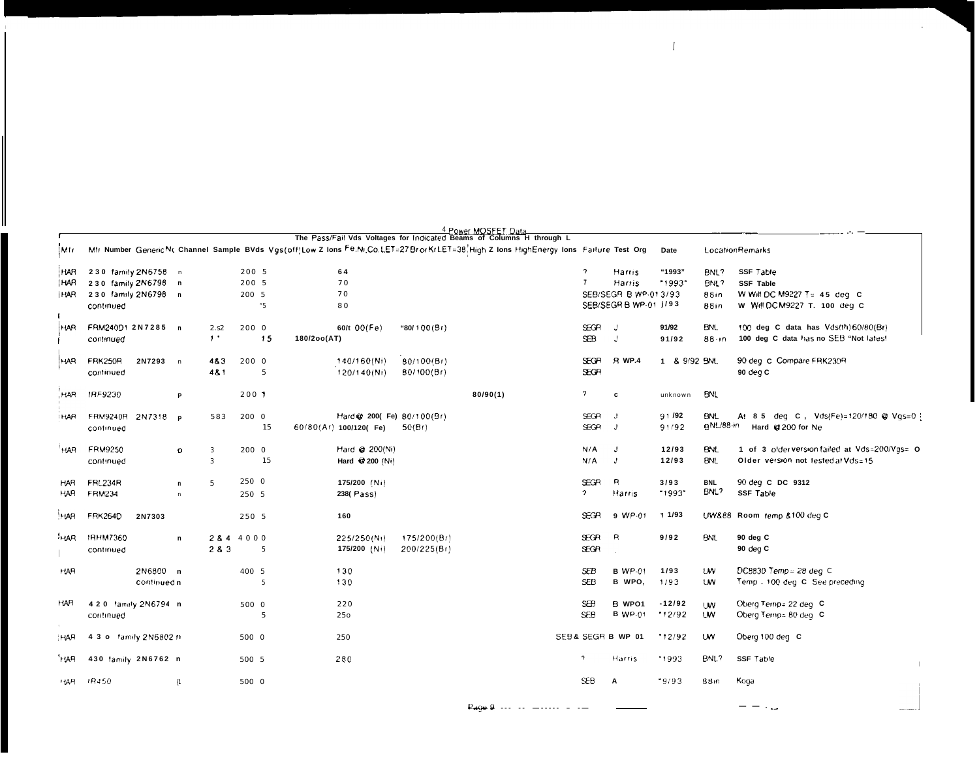|                                        |                                 |                                                                   |                             |                     |                         |       |                                   |                                      | The Pass/Fail Vds Voltages for Indicated Beams of Columns H through L                                                                  |                                |                                                                   |                   |                              |                                                                                                     |
|----------------------------------------|---------------------------------|-------------------------------------------------------------------|-----------------------------|---------------------|-------------------------|-------|-----------------------------------|--------------------------------------|----------------------------------------------------------------------------------------------------------------------------------------|--------------------------------|-------------------------------------------------------------------|-------------------|------------------------------|-----------------------------------------------------------------------------------------------------|
| (Mir.                                  |                                 |                                                                   |                             |                     |                         |       |                                   |                                      | Mfr Number GenericNc Channel Sample BVds Vgs(off)Low Z Ions Fe.Nr.Co.LET=27Br orKrLET=38, High Z Ions HighEnergy Ions Failure Test Org |                                |                                                                   | Date              |                              | LocationRemarks                                                                                     |
| <b>HAR</b><br><b>HAR</b><br><b>HAR</b> | continued                       | 230 family 2N6758 n<br>230 family 2N6798 n<br>230 family 2N6798 n |                             |                     | 200 5<br>200 5<br>200 5 | $5 -$ | 64<br>70<br>70<br>80              |                                      |                                                                                                                                        | <sup>2</sup><br>$\overline{7}$ | Harris<br>Harris<br>SEB/SEGR B WP-013/93<br>SEB/SEGR B WP-01 J/93 | "1993"<br>1993    | BNL?<br>BNL?<br>88in<br>88in | <b>SSF Table</b><br><b>SSF Table</b><br>W Will DC M9227 T= 45 deg C<br>W Will DC M9227 T. 100 deg C |
| HAR.                                   | FRM24001 2N7285 n<br>continued  |                                                                   |                             | 2.52<br>$\cdot$     | 200 0                   | 15    | 60/t $OO(Fe)$<br>180/2oo(AT)      | "80/100(Br)                          |                                                                                                                                        | SEGR.<br><b>SEB</b>            | J<br>J                                                            | 91/92<br>91/92    | BNL<br>$88 - n$              | 100 deg C data has Vds(th)60/80(Br)<br>100 deg C data has no SEB "Not lates!                        |
| ндп.                                   | <b>FRK250R</b><br>continued     | 2N7293                                                            | $\overline{a}$              | 483<br>481          | 200 0                   | 5     | 140/160(Ni)<br>120/140(Ni)        | 80/100(Br)<br>80/100(Br)             |                                                                                                                                        | <b>SEGR</b><br>SEGR            | <b>B</b> WP.4                                                     | 1 & 9/92 BNL      |                              | 90 deg C Compare FRK230R<br>90 deg C                                                                |
| <b>HAR</b>                             | IRF9230                         |                                                                   | P                           |                     | 2001                    |       |                                   |                                      | 80/90(1)                                                                                                                               | $\overline{a}$                 | c                                                                 | unknown           | <b>BNL</b>                   |                                                                                                     |
| <b>HAR</b>                             | <b>FRM9240R</b><br>continued    | 2N7318                                                            | Þ                           | 583                 | 200 0                   | 15    | $60/80(Ar)$ 100/120(Fe)           | Hard @ 200( Fe) 80/100(Br)<br>50(Br) |                                                                                                                                        | SEGR<br>9£GR                   | ں ۔<br>J                                                          | 91/92<br>91/92    | 8NL<br>BNL/88-in             | At 8.5 deg C, Vds(Fe)=120/180 @ Vgs=0<br>Hard @200 for Ne                                           |
| HAR.                                   | <b>FRM9250</b><br>continued     |                                                                   | $\mathbf{D}$                | 3<br>$\mathfrak{Z}$ | 200 0                   | 15    | Hard @ 200(Ni)<br>Hard @ 200 (Ni) |                                      |                                                                                                                                        | N/A<br>N/A                     | J.<br>J                                                           | 12/93<br>12/93    | <b>BNL</b><br><b>BNL</b>     | 1 of 3 older version failed at Vds=200/Vgs= 0<br>Older version not lested at Vds=15                 |
| HAR<br><b>HAR</b>                      | <b>FRL234R</b><br><b>FRM234</b> |                                                                   | $\mathsf{n}$<br>$\mathbf n$ | 5                   | 250 0<br>250 5          |       | 175/200 (Ni)<br>238(Pass)         |                                      |                                                                                                                                        | <b>SEGR</b><br>$\mathcal{P}$   | R<br>Harris                                                       | 3/93<br>"1993"    | BNL<br>BNL?                  | 90 deg C DC 9312<br>SSF Table                                                                       |
| HAR.                                   | <b>FRK2640</b>                  | 2N7303                                                            |                             |                     | 250 5                   |       | 160                               |                                      |                                                                                                                                        | S£GR                           | 9 WP-01                                                           | 1 1/93            | UW&88                        | Room temp & 100 deg C                                                                               |
| <b>HAR</b>                             | <b>IRHM7360</b><br>continued    |                                                                   | $\mathsf n$                 | 2844000<br>283      |                         | 5     | 225/250(Ni)<br>175/200 (N+)       | 175/200(Br)<br>200/225(Br)           |                                                                                                                                        | <b>SEGR</b><br>SEGR            | $\mathsf{R}$                                                      | 9/92              | <b>BNL</b>                   | 90 deg C<br>90 deg C                                                                                |
| <b>HAR</b>                             |                                 | 2N6800 n<br>continued n                                           |                             |                     | 400 5                   | -5    | 130<br>130                        |                                      |                                                                                                                                        | SEB<br><b>SEB</b>              | <b>B</b> WP-01<br>B WPO,                                          | 1/93<br>1/93      | UW.<br><b>UW</b>             | $DC8830$ Temp = 28 deg C<br>Temp . 100 deg. C. See preceding                                        |
| HAR                                    | continued                       | 4.2.0 family 2N6794 n                                             |                             |                     | 500 0                   | 5     | 220<br>25 <sub>O</sub>            |                                      |                                                                                                                                        | SEB<br><b>SEB</b>              | B WPO1<br><b>B</b> WP-01                                          | $-12/92$<br>12/92 | <b>UW</b><br><b>UW</b>       | Oberg Temp= 22 deg C<br>Oberg Temp= 80 deg C                                                        |
| <b>HAR</b>                             | 4.3 o family 2N6802 n           |                                                                   |                             |                     | 500 0                   |       | 250                               |                                      |                                                                                                                                        |                                | SEB& SEGR B WP 01                                                 | 12/92             | <b>UW</b>                    | Oberg 100 deg C                                                                                     |
| <b>HAR</b>                             | 430 family 2N6762 n             |                                                                   |                             |                     | 500 5                   |       | 280                               |                                      |                                                                                                                                        | $\gamma$                       | Harris                                                            | "1993             | BNL?                         | SSF Table<br>$\overline{1}$                                                                         |
| HAR.                                   | 1R150                           |                                                                   | $\{1$                       |                     | 500 0                   |       |                                   |                                      |                                                                                                                                        | <b>SEB</b>                     | A                                                                 | "9/93             | 88 <sub>In</sub>             | Koqa                                                                                                |

 $P_4999$   $P_5$   $P_6$   $P_7$   $P_8$   $P_9$   $P_9$   $P_9$   $P_9$   $P_9$   $P_9$   $P_9$   $P_9$   $P_9$   $P_9$   $P_9$   $P_9$   $P_9$   $P_9$   $P_9$   $P_9$   $P_9$   $P_9$   $P_9$   $P_9$   $P_9$   $P_9$   $P_9$   $P_9$   $P_9$   $P_9$   $P_9$   $P_9$   $P_9$   $P_9$   $P_9$   $P$ 

 $\ldots$ 

 $\overline{\phantom{0}}$ 

 $\sim$ 

 $\bar{l}$